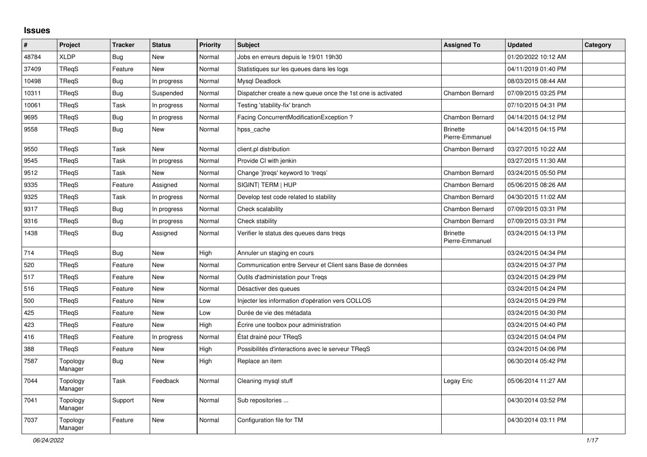## **Issues**

| $\vert$ # | Project             | <b>Tracker</b> | <b>Status</b> | <b>Priority</b> | <b>Subject</b>                                              | <b>Assigned To</b>                 | <b>Updated</b>      | Category |
|-----------|---------------------|----------------|---------------|-----------------|-------------------------------------------------------------|------------------------------------|---------------------|----------|
| 48784     | <b>XLDP</b>         | <b>Bug</b>     | <b>New</b>    | Normal          | Jobs en erreurs depuis le 19/01 19h30                       |                                    | 01/20/2022 10:12 AM |          |
| 37409     | TReqS               | Feature        | <b>New</b>    | Normal          | Statistiques sur les queues dans les logs                   |                                    | 04/11/2019 01:40 PM |          |
| 10498     | TReaS               | Bug            | In progress   | Normal          | Mysql Deadlock                                              |                                    | 08/03/2015 08:44 AM |          |
| 10311     | TReqS               | Bug            | Suspended     | Normal          | Dispatcher create a new queue once the 1st one is activated | <b>Chambon Bernard</b>             | 07/09/2015 03:25 PM |          |
| 10061     | TReqS               | Task           | In progress   | Normal          | Testing 'stability-fix' branch                              |                                    | 07/10/2015 04:31 PM |          |
| 9695      | <b>TReqS</b>        | <b>Bug</b>     | In progress   | Normal          | Facing ConcurrentModificationException?                     | Chambon Bernard                    | 04/14/2015 04:12 PM |          |
| 9558      | TRegS               | <b>Bug</b>     | New           | Normal          | hpss_cache                                                  | <b>Brinette</b><br>Pierre-Emmanuel | 04/14/2015 04:15 PM |          |
| 9550      | TReaS               | Task           | <b>New</b>    | Normal          | client.pl distribution                                      | Chambon Bernard                    | 03/27/2015 10:22 AM |          |
| 9545      | TRegS               | Task           | In progress   | Normal          | Provide CI with jenkin                                      |                                    | 03/27/2015 11:30 AM |          |
| 9512      | <b>TRegS</b>        | Task           | <b>New</b>    | Normal          | Change 'jtregs' keyword to 'tregs'                          | <b>Chambon Bernard</b>             | 03/24/2015 05:50 PM |          |
| 9335      | TReqS               | Feature        | Assigned      | Normal          | SIGINT  TERM   HUP                                          | Chambon Bernard                    | 05/06/2015 08:26 AM |          |
| 9325      | <b>TReqS</b>        | Task           | In progress   | Normal          | Develop test code related to stability                      | Chambon Bernard                    | 04/30/2015 11:02 AM |          |
| 9317      | <b>TRegS</b>        | <b>Bug</b>     | In progress   | Normal          | Check scalability                                           | Chambon Bernard                    | 07/09/2015 03:31 PM |          |
| 9316      | TRegS               | <b>Bug</b>     | In progress   | Normal          | Check stability                                             | Chambon Bernard                    | 07/09/2015 03:31 PM |          |
| 1438      | TRegS               | Bug            | Assigned      | Normal          | Verifier le status des queues dans tregs                    | <b>Brinette</b><br>Pierre-Emmanuel | 03/24/2015 04:13 PM |          |
| 714       | <b>TRegS</b>        | <b>Bug</b>     | <b>New</b>    | High            | Annuler un staging en cours                                 |                                    | 03/24/2015 04:34 PM |          |
| 520       | <b>TRegS</b>        | Feature        | New           | Normal          | Communication entre Serveur et Client sans Base de données  |                                    | 03/24/2015 04:37 PM |          |
| 517       | <b>TReqS</b>        | Feature        | New           | Normal          | Outils d'administation pour Treqs                           |                                    | 03/24/2015 04:29 PM |          |
| 516       | TReqS               | Feature        | New           | Normal          | Désactiver des queues                                       |                                    | 03/24/2015 04:24 PM |          |
| 500       | TRegS               | Feature        | New           | Low             | Injecter les information d'opération vers COLLOS            |                                    | 03/24/2015 04:29 PM |          |
| 425       | TRegS               | Feature        | New           | Low             | Durée de vie des métadata                                   |                                    | 03/24/2015 04:30 PM |          |
| 423       | <b>TRegS</b>        | Feature        | <b>New</b>    | High            | Écrire une toolbox pour administration                      |                                    | 03/24/2015 04:40 PM |          |
| 416       | TReqS               | Feature        | In progress   | Normal          | État drainé pour TReqS                                      |                                    | 03/24/2015 04:04 PM |          |
| 388       | TReqS               | Feature        | New           | High            | Possibilités d'interactions avec le serveur TReqS           |                                    | 03/24/2015 04:06 PM |          |
| 7587      | Topology<br>Manager | <b>Bug</b>     | New           | High            | Replace an item                                             |                                    | 06/30/2014 05:42 PM |          |
| 7044      | Topology<br>Manager | Task           | Feedback      | Normal          | Cleaning mysql stuff                                        | Legay Eric                         | 05/06/2014 11:27 AM |          |
| 7041      | Topology<br>Manager | Support        | <b>New</b>    | Normal          | Sub repositories                                            |                                    | 04/30/2014 03:52 PM |          |
| 7037      | Topology<br>Manager | Feature        | New           | Normal          | Configuration file for TM                                   |                                    | 04/30/2014 03:11 PM |          |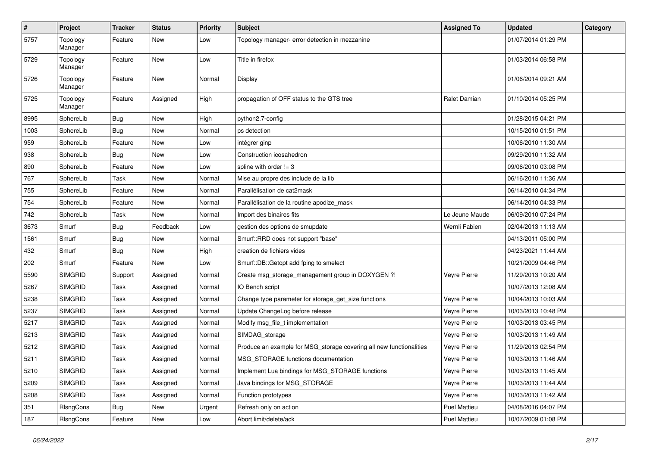| $\sharp$ | Project             | <b>Tracker</b> | <b>Status</b> | <b>Priority</b> | <b>Subject</b>                                                      | <b>Assigned To</b> | <b>Updated</b>      | Category |
|----------|---------------------|----------------|---------------|-----------------|---------------------------------------------------------------------|--------------------|---------------------|----------|
| 5757     | Topology<br>Manager | Feature        | New           | Low             | Topology manager- error detection in mezzanine                      |                    | 01/07/2014 01:29 PM |          |
| 5729     | Topology<br>Manager | Feature        | New           | Low             | Title in firefox                                                    |                    | 01/03/2014 06:58 PM |          |
| 5726     | Topology<br>Manager | Feature        | New           | Normal          | Display                                                             |                    | 01/06/2014 09:21 AM |          |
| 5725     | Topology<br>Manager | Feature        | Assigned      | High            | propagation of OFF status to the GTS tree                           | Ralet Damian       | 01/10/2014 05:25 PM |          |
| 8995     | SphereLib           | <b>Bug</b>     | New           | High            | python2.7-config                                                    |                    | 01/28/2015 04:21 PM |          |
| 1003     | SphereLib           | <b>Bug</b>     | New           | Normal          | ps detection                                                        |                    | 10/15/2010 01:51 PM |          |
| 959      | SphereLib           | Feature        | New           | Low             | intégrer ginp                                                       |                    | 10/06/2010 11:30 AM |          |
| 938      | SphereLib           | <b>Bug</b>     | New           | Low             | Construction icosahedron                                            |                    | 09/29/2010 11:32 AM |          |
| 890      | SphereLib           | Feature        | New           | Low             | spline with order != 3                                              |                    | 09/06/2010 03:08 PM |          |
| 767      | SphereLib           | Task           | New           | Normal          | Mise au propre des include de la lib                                |                    | 06/16/2010 11:36 AM |          |
| 755      | SphereLib           | Feature        | New           | Normal          | Parallélisation de cat2mask                                         |                    | 06/14/2010 04:34 PM |          |
| 754      | SphereLib           | Feature        | New           | Normal          | Parallélisation de la routine apodize_mask                          |                    | 06/14/2010 04:33 PM |          |
| 742      | SphereLib           | Task           | New           | Normal          | Import des binaires fits                                            | Le Jeune Maude     | 06/09/2010 07:24 PM |          |
| 3673     | Smurf               | <b>Bug</b>     | Feedback      | Low             | gestion des options de smupdate                                     | Wernli Fabien      | 02/04/2013 11:13 AM |          |
| 1561     | Smurf               | <b>Bug</b>     | New           | Normal          | Smurf::RRD does not support "base"                                  |                    | 04/13/2011 05:00 PM |          |
| 432      | Smurf               | <b>Bug</b>     | New           | High            | creation de fichiers vides                                          |                    | 04/23/2021 11:44 AM |          |
| 202      | Smurf               | Feature        | New           | Low             | Smurf::DB::Getopt add fping to smelect                              |                    | 10/21/2009 04:46 PM |          |
| 5590     | <b>SIMGRID</b>      | Support        | Assigned      | Normal          | Create msg_storage_management group in DOXYGEN ?!                   | Veyre Pierre       | 11/29/2013 10:20 AM |          |
| 5267     | <b>SIMGRID</b>      | Task           | Assigned      | Normal          | IO Bench script                                                     |                    | 10/07/2013 12:08 AM |          |
| 5238     | <b>SIMGRID</b>      | Task           | Assigned      | Normal          | Change type parameter for storage_get_size functions                | Veyre Pierre       | 10/04/2013 10:03 AM |          |
| 5237     | <b>SIMGRID</b>      | Task           | Assigned      | Normal          | Update ChangeLog before release                                     | Veyre Pierre       | 10/03/2013 10:48 PM |          |
| 5217     | <b>SIMGRID</b>      | Task           | Assigned      | Normal          | Modify msg_file_t implementation                                    | Veyre Pierre       | 10/03/2013 03:45 PM |          |
| 5213     | <b>SIMGRID</b>      | Task           | Assigned      | Normal          | SIMDAG_storage                                                      | Veyre Pierre       | 10/03/2013 11:49 AM |          |
| 5212     | <b>SIMGRID</b>      | Task           | Assigned      | Normal          | Produce an example for MSG_storage covering all new functionalities | Veyre Pierre       | 11/29/2013 02:54 PM |          |
| 5211     | <b>SIMGRID</b>      | Task           | Assigned      | Normal          | MSG STORAGE functions documentation                                 | Veyre Pierre       | 10/03/2013 11:46 AM |          |
| 5210     | <b>SIMGRID</b>      | Task           | Assigned      | Normal          | Implement Lua bindings for MSG_STORAGE functions                    | Veyre Pierre       | 10/03/2013 11:45 AM |          |
| 5209     | <b>SIMGRID</b>      | Task           | Assigned      | Normal          | Java bindings for MSG_STORAGE                                       | Veyre Pierre       | 10/03/2013 11:44 AM |          |
| 5208     | <b>SIMGRID</b>      | Task           | Assigned      | Normal          | Function prototypes                                                 | Veyre Pierre       | 10/03/2013 11:42 AM |          |
| 351      | RIsngCons           | Bug            | New           | Urgent          | Refresh only on action                                              | Puel Mattieu       | 04/08/2016 04:07 PM |          |
| 187      | RIsngCons           | Feature        | New           | Low             | Abort limit/delete/ack                                              | Puel Mattieu       | 10/07/2009 01:08 PM |          |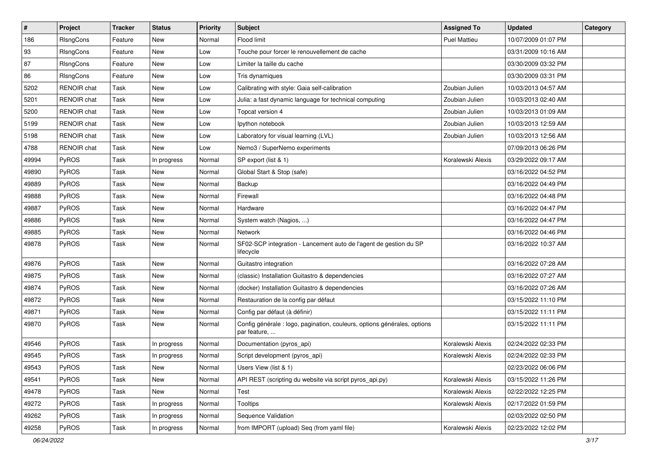| $\sharp$ | Project            | <b>Tracker</b> | <b>Status</b> | <b>Priority</b> | <b>Subject</b>                                                                           | <b>Assigned To</b>  | <b>Updated</b>      | Category |
|----------|--------------------|----------------|---------------|-----------------|------------------------------------------------------------------------------------------|---------------------|---------------------|----------|
| 186      | RIsngCons          | Feature        | New           | Normal          | Flood limit                                                                              | <b>Puel Mattieu</b> | 10/07/2009 01:07 PM |          |
| 93       | RIsngCons          | Feature        | New           | Low             | Touche pour forcer le renouvellement de cache                                            |                     | 03/31/2009 10:16 AM |          |
| 87       | RIsngCons          | Feature        | New           | Low             | Limiter la taille du cache                                                               |                     | 03/30/2009 03:32 PM |          |
| 86       | RIsngCons          | Feature        | New           | Low             | Tris dynamiques                                                                          |                     | 03/30/2009 03:31 PM |          |
| 5202     | <b>RENOIR chat</b> | Task           | New           | Low             | Calibrating with style: Gaia self-calibration                                            | Zoubian Julien      | 10/03/2013 04:57 AM |          |
| 5201     | <b>RENOIR</b> chat | Task           | New           | Low             | Julia: a fast dynamic language for technical computing                                   | Zoubian Julien      | 10/03/2013 02:40 AM |          |
| 5200     | RENOIR chat        | Task           | New           | Low             | Topcat version 4                                                                         | Zoubian Julien      | 10/03/2013 01:09 AM |          |
| 5199     | <b>RENOIR chat</b> | Task           | New           | Low             | lpython notebook                                                                         | Zoubian Julien      | 10/03/2013 12:59 AM |          |
| 5198     | <b>RENOIR</b> chat | Task           | New           | Low             | Laboratory for visual learning (LVL)                                                     | Zoubian Julien      | 10/03/2013 12:56 AM |          |
| 4788     | <b>RENOIR</b> chat | Task           | New           | Low             | Nemo3 / SuperNemo experiments                                                            |                     | 07/09/2013 06:26 PM |          |
| 49994    | <b>PyROS</b>       | Task           | In progress   | Normal          | SP export (list & 1)                                                                     | Koralewski Alexis   | 03/29/2022 09:17 AM |          |
| 49890    | PyROS              | Task           | New           | Normal          | Global Start & Stop (safe)                                                               |                     | 03/16/2022 04:52 PM |          |
| 49889    | PyROS              | Task           | New           | Normal          | Backup                                                                                   |                     | 03/16/2022 04:49 PM |          |
| 49888    | PyROS              | Task           | New           | Normal          | Firewall                                                                                 |                     | 03/16/2022 04:48 PM |          |
| 49887    | PyROS              | Task           | New           | Normal          | Hardware                                                                                 |                     | 03/16/2022 04:47 PM |          |
| 49886    | PyROS              | Task           | New           | Normal          | System watch (Nagios, )                                                                  |                     | 03/16/2022 04:47 PM |          |
| 49885    | PyROS              | Task           | New           | Normal          | Network                                                                                  |                     | 03/16/2022 04:46 PM |          |
| 49878    | PyROS              | Task           | New           | Normal          | SF02-SCP integration - Lancement auto de l'agent de gestion du SP<br>lifecycle           |                     | 03/16/2022 10:37 AM |          |
| 49876    | PyROS              | Task           | New           | Normal          | Guitastro integration                                                                    |                     | 03/16/2022 07:28 AM |          |
| 49875    | PyROS              | Task           | New           | Normal          | (classic) Installation Guitastro & dependencies                                          |                     | 03/16/2022 07:27 AM |          |
| 49874    | PyROS              | Task           | New           | Normal          | (docker) Installation Guitastro & dependencies                                           |                     | 03/16/2022 07:26 AM |          |
| 49872    | PyROS              | Task           | New           | Normal          | Restauration de la config par défaut                                                     |                     | 03/15/2022 11:10 PM |          |
| 49871    | PyROS              | Task           | New           | Normal          | Config par défaut (à définir)                                                            |                     | 03/15/2022 11:11 PM |          |
| 49870    | PyROS              | Task           | New           | Normal          | Config générale : logo, pagination, couleurs, options générales, options<br>par feature, |                     | 03/15/2022 11:11 PM |          |
| 49546    | PyROS              | Task           | In progress   | Normal          | Documentation (pyros_api)                                                                | Koralewski Alexis   | 02/24/2022 02:33 PM |          |
| 49545    | PyROS              | Task           | In progress   | Normal          | Script development (pyros_api)                                                           | Koralewski Alexis   | 02/24/2022 02:33 PM |          |
| 49543    | PyROS              | Task           | New           | Normal          | Users View (list & 1)                                                                    |                     | 02/23/2022 06:06 PM |          |
| 49541    | <b>PyROS</b>       | Task           | New           | Normal          | API REST (scripting du website via script pyros api.py)                                  | Koralewski Alexis   | 03/15/2022 11:26 PM |          |
| 49478    | PyROS              | Task           | New           | Normal          | Test                                                                                     | Koralewski Alexis   | 02/22/2022 12:25 PM |          |
| 49272    | PyROS              | Task           | In progress   | Normal          | Tooltips                                                                                 | Koralewski Alexis   | 02/17/2022 01:59 PM |          |
| 49262    | PyROS              | Task           | In progress   | Normal          | Sequence Validation                                                                      |                     | 02/03/2022 02:50 PM |          |
| 49258    | PyROS              | Task           | In progress   | Normal          | from IMPORT (upload) Seq (from yaml file)                                                | Koralewski Alexis   | 02/23/2022 12:02 PM |          |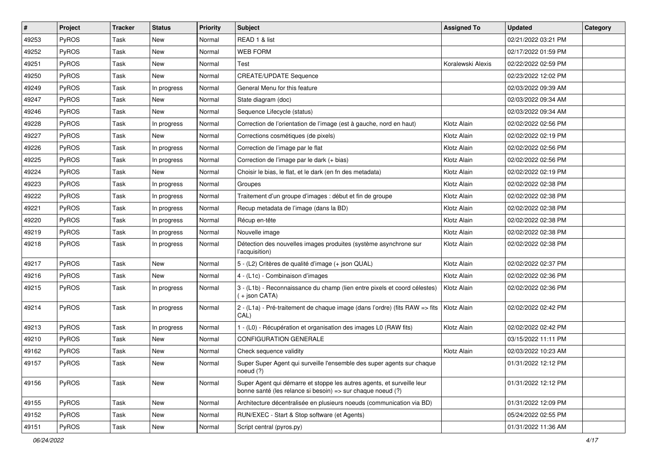| #     | Project      | <b>Tracker</b> | <b>Status</b> | <b>Priority</b> | <b>Subject</b>                                                                                                                        | <b>Assigned To</b> | <b>Updated</b>      | Category |
|-------|--------------|----------------|---------------|-----------------|---------------------------------------------------------------------------------------------------------------------------------------|--------------------|---------------------|----------|
| 49253 | <b>PyROS</b> | Task           | New           | Normal          | READ 1 & list                                                                                                                         |                    | 02/21/2022 03:21 PM |          |
| 49252 | PyROS        | Task           | <b>New</b>    | Normal          | <b>WEB FORM</b>                                                                                                                       |                    | 02/17/2022 01:59 PM |          |
| 49251 | <b>PyROS</b> | Task           | New           | Normal          | Test                                                                                                                                  | Koralewski Alexis  | 02/22/2022 02:59 PM |          |
| 49250 | PyROS        | Task           | New           | Normal          | <b>CREATE/UPDATE Sequence</b>                                                                                                         |                    | 02/23/2022 12:02 PM |          |
| 49249 | <b>PyROS</b> | Task           | In progress   | Normal          | General Menu for this feature                                                                                                         |                    | 02/03/2022 09:39 AM |          |
| 49247 | PyROS        | Task           | New           | Normal          | State diagram (doc)                                                                                                                   |                    | 02/03/2022 09:34 AM |          |
| 49246 | PyROS        | Task           | New           | Normal          | Sequence Lifecycle (status)                                                                                                           |                    | 02/03/2022 09:34 AM |          |
| 49228 | <b>PyROS</b> | Task           | In progress   | Normal          | Correction de l'orientation de l'image (est à gauche, nord en haut)                                                                   | Klotz Alain        | 02/02/2022 02:56 PM |          |
| 49227 | PyROS        | Task           | New           | Normal          | Corrections cosmétiques (de pixels)                                                                                                   | Klotz Alain        | 02/02/2022 02:19 PM |          |
| 49226 | <b>PyROS</b> | Task           | In progress   | Normal          | Correction de l'image par le flat                                                                                                     | Klotz Alain        | 02/02/2022 02:56 PM |          |
| 49225 | <b>PyROS</b> | Task           | In progress   | Normal          | Correction de l'image par le dark (+ bias)                                                                                            | Klotz Alain        | 02/02/2022 02:56 PM |          |
| 49224 | PyROS        | Task           | <b>New</b>    | Normal          | Choisir le bias, le flat, et le dark (en fn des metadata)                                                                             | Klotz Alain        | 02/02/2022 02:19 PM |          |
| 49223 | PyROS        | Task           | In progress   | Normal          | Groupes                                                                                                                               | Klotz Alain        | 02/02/2022 02:38 PM |          |
| 49222 | PyROS        | Task           | In progress   | Normal          | Traitement d'un groupe d'images : début et fin de groupe                                                                              | Klotz Alain        | 02/02/2022 02:38 PM |          |
| 49221 | PyROS        | Task           | In progress   | Normal          | Recup metadata de l'image (dans la BD)                                                                                                | Klotz Alain        | 02/02/2022 02:38 PM |          |
| 49220 | <b>PyROS</b> | Task           | In progress   | Normal          | Récup en-tête                                                                                                                         | Klotz Alain        | 02/02/2022 02:38 PM |          |
| 49219 | PyROS        | Task           | In progress   | Normal          | Nouvelle image                                                                                                                        | Klotz Alain        | 02/02/2022 02:38 PM |          |
| 49218 | <b>PyROS</b> | Task           | In progress   | Normal          | Détection des nouvelles images produites (système asynchrone sur<br>l'acquisition)                                                    | Klotz Alain        | 02/02/2022 02:38 PM |          |
| 49217 | PyROS        | Task           | <b>New</b>    | Normal          | 5 - (L2) Critères de qualité d'image (+ json QUAL)                                                                                    | Klotz Alain        | 02/02/2022 02:37 PM |          |
| 49216 | <b>PyROS</b> | Task           | New           | Normal          | 4 - (L1c) - Combinaison d'images                                                                                                      | Klotz Alain        | 02/02/2022 02:36 PM |          |
| 49215 | PyROS        | Task           | In progress   | Normal          | 3 - (L1b) - Reconnaissance du champ (lien entre pixels et coord célestes)<br>(+ json CATA)                                            | Klotz Alain        | 02/02/2022 02:36 PM |          |
| 49214 | PyROS        | Task           | In progress   | Normal          | 2 - (L1a) - Pré-traitement de chaque image (dans l'ordre) (fits RAW => fits<br>CAL)                                                   | Klotz Alain        | 02/02/2022 02:42 PM |          |
| 49213 | <b>PyROS</b> | Task           | In progress   | Normal          | 1 - (L0) - Récupération et organisation des images L0 (RAW fits)                                                                      | Klotz Alain        | 02/02/2022 02:42 PM |          |
| 49210 | PyROS        | Task           | New           | Normal          | <b>CONFIGURATION GENERALE</b>                                                                                                         |                    | 03/15/2022 11:11 PM |          |
| 49162 | PyROS        | Task           | New           | Normal          | Check sequence validity                                                                                                               | Klotz Alain        | 02/03/2022 10:23 AM |          |
| 49157 | PyROS        | Task           | New           | Normal          | Super Super Agent qui surveille l'ensemble des super agents sur chaque<br>noeud (?)                                                   |                    | 01/31/2022 12:12 PM |          |
| 49156 | PyROS        | Task           | New           | Normal          | Super Agent qui démarre et stoppe les autres agents, et surveille leur<br>bonne santé (les relance si besoin) => sur chaque noeud (?) |                    | 01/31/2022 12:12 PM |          |
| 49155 | PyROS        | Task           | New           | Normal          | Architecture décentralisée en plusieurs noeuds (communication via BD)                                                                 |                    | 01/31/2022 12:09 PM |          |
| 49152 | PyROS        | Task           | New           | Normal          | RUN/EXEC - Start & Stop software (et Agents)                                                                                          |                    | 05/24/2022 02:55 PM |          |
| 49151 | PyROS        | Task           | New           | Normal          | Script central (pyros.py)                                                                                                             |                    | 01/31/2022 11:36 AM |          |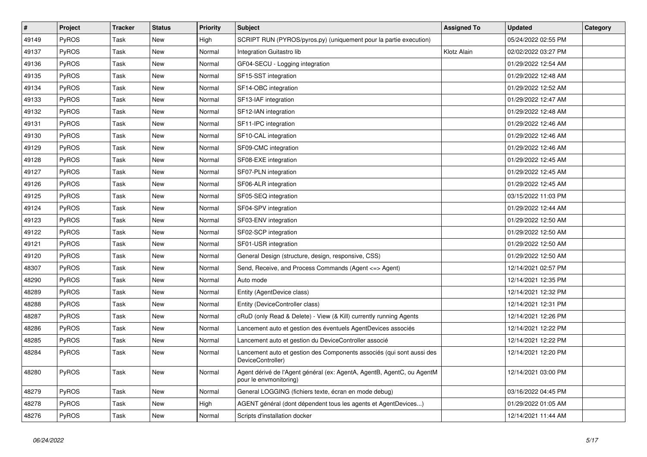| $\sharp$ | Project      | <b>Tracker</b> | <b>Status</b> | <b>Priority</b> | <b>Subject</b>                                                                                   | <b>Assigned To</b> | <b>Updated</b>      | Category |
|----------|--------------|----------------|---------------|-----------------|--------------------------------------------------------------------------------------------------|--------------------|---------------------|----------|
| 49149    | <b>PyROS</b> | Task           | New           | High            | SCRIPT RUN (PYROS/pyros.py) (uniquement pour la partie execution)                                |                    | 05/24/2022 02:55 PM |          |
| 49137    | <b>PyROS</b> | Task           | <b>New</b>    | Normal          | Integration Guitastro lib                                                                        | Klotz Alain        | 02/02/2022 03:27 PM |          |
| 49136    | <b>PyROS</b> | Task           | New           | Normal          | GF04-SECU - Logging integration                                                                  |                    | 01/29/2022 12:54 AM |          |
| 49135    | <b>PyROS</b> | Task           | New           | Normal          | SF15-SST integration                                                                             |                    | 01/29/2022 12:48 AM |          |
| 49134    | <b>PyROS</b> | Task           | New           | Normal          | SF14-OBC integration                                                                             |                    | 01/29/2022 12:52 AM |          |
| 49133    | <b>PyROS</b> | Task           | New           | Normal          | SF13-IAF integration                                                                             |                    | 01/29/2022 12:47 AM |          |
| 49132    | <b>PyROS</b> | Task           | New           | Normal          | SF12-IAN integration                                                                             |                    | 01/29/2022 12:48 AM |          |
| 49131    | <b>PyROS</b> | Task           | New           | Normal          | SF11-IPC integration                                                                             |                    | 01/29/2022 12:46 AM |          |
| 49130    | <b>PyROS</b> | Task           | New           | Normal          | SF10-CAL integration                                                                             |                    | 01/29/2022 12:46 AM |          |
| 49129    | <b>PyROS</b> | Task           | New           | Normal          | SF09-CMC integration                                                                             |                    | 01/29/2022 12:46 AM |          |
| 49128    | <b>PyROS</b> | Task           | New           | Normal          | SF08-EXE integration                                                                             |                    | 01/29/2022 12:45 AM |          |
| 49127    | <b>PyROS</b> | Task           | New           | Normal          | SF07-PLN integration                                                                             |                    | 01/29/2022 12:45 AM |          |
| 49126    | <b>PyROS</b> | Task           | New           | Normal          | SF06-ALR integration                                                                             |                    | 01/29/2022 12:45 AM |          |
| 49125    | PyROS        | Task           | New           | Normal          | SF05-SEQ integration                                                                             |                    | 03/15/2022 11:03 PM |          |
| 49124    | <b>PyROS</b> | Task           | New           | Normal          | SF04-SPV integration                                                                             |                    | 01/29/2022 12:44 AM |          |
| 49123    | PyROS        | Task           | New           | Normal          | SF03-ENV integration                                                                             |                    | 01/29/2022 12:50 AM |          |
| 49122    | <b>PyROS</b> | Task           | New           | Normal          | SF02-SCP integration                                                                             |                    | 01/29/2022 12:50 AM |          |
| 49121    | <b>PyROS</b> | Task           | New           | Normal          | SF01-USR integration                                                                             |                    | 01/29/2022 12:50 AM |          |
| 49120    | <b>PyROS</b> | Task           | <b>New</b>    | Normal          | General Design (structure, design, responsive, CSS)                                              |                    | 01/29/2022 12:50 AM |          |
| 48307    | PyROS        | Task           | New           | Normal          | Send, Receive, and Process Commands (Agent <=> Agent)                                            |                    | 12/14/2021 02:57 PM |          |
| 48290    | <b>PyROS</b> | Task           | New           | Normal          | Auto mode                                                                                        |                    | 12/14/2021 12:35 PM |          |
| 48289    | <b>PyROS</b> | Task           | New           | Normal          | Entity (AgentDevice class)                                                                       |                    | 12/14/2021 12:32 PM |          |
| 48288    | PyROS        | Task           | <b>New</b>    | Normal          | Entity (DeviceController class)                                                                  |                    | 12/14/2021 12:31 PM |          |
| 48287    | <b>PyROS</b> | Task           | New           | Normal          | cRuD (only Read & Delete) - View (& Kill) currently running Agents                               |                    | 12/14/2021 12:26 PM |          |
| 48286    | <b>PyROS</b> | Task           | New           | Normal          | Lancement auto et gestion des éventuels AgentDevices associés                                    |                    | 12/14/2021 12:22 PM |          |
| 48285    | <b>PyROS</b> | Task           | New           | Normal          | Lancement auto et gestion du DeviceController associé                                            |                    | 12/14/2021 12:22 PM |          |
| 48284    | <b>PyROS</b> | Task           | New           | Normal          | Lancement auto et gestion des Components associés (qui sont aussi des<br>DeviceController)       |                    | 12/14/2021 12:20 PM |          |
| 48280    | <b>PyROS</b> | Task           | New           | Normal          | Agent dérivé de l'Agent général (ex: AgentA, AgentB, AgentC, ou AgentM<br>pour le envmonitoring) |                    | 12/14/2021 03:00 PM |          |
| 48279    | PyROS        | Task           | New           | Normal          | General LOGGING (fichiers texte, écran en mode debug)                                            |                    | 03/16/2022 04:45 PM |          |
| 48278    | <b>PyROS</b> | Task           | New           | High            | AGENT général (dont dépendent tous les agents et AgentDevices)                                   |                    | 01/29/2022 01:05 AM |          |
| 48276    | PyROS        | Task           | New           | Normal          | Scripts d'installation docker                                                                    |                    | 12/14/2021 11:44 AM |          |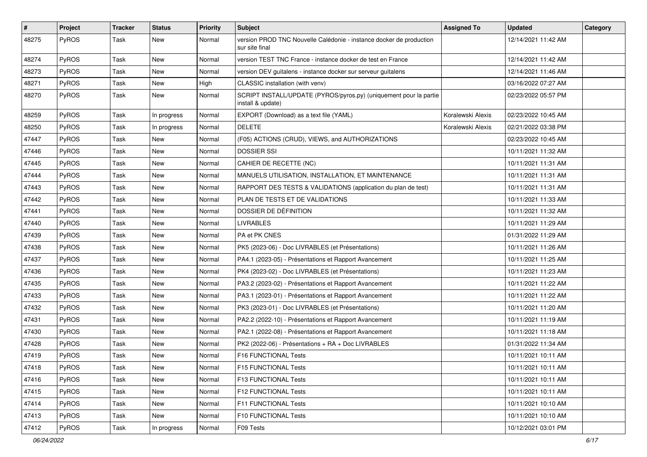| #     | Project      | <b>Tracker</b> | <b>Status</b> | <b>Priority</b> | <b>Subject</b>                                                                         | <b>Assigned To</b> | <b>Updated</b>      | Category |
|-------|--------------|----------------|---------------|-----------------|----------------------------------------------------------------------------------------|--------------------|---------------------|----------|
| 48275 | <b>PyROS</b> | Task           | New           | Normal          | version PROD TNC Nouvelle Calédonie - instance docker de production<br>sur site final  |                    | 12/14/2021 11:42 AM |          |
| 48274 | <b>PyROS</b> | Task           | New           | Normal          | version TEST TNC France - instance docker de test en France                            |                    | 12/14/2021 11:42 AM |          |
| 48273 | <b>PyROS</b> | Task           | New           | Normal          | version DEV guitalens - instance docker sur serveur guitalens                          |                    | 12/14/2021 11:46 AM |          |
| 48271 | <b>PyROS</b> | Task           | New           | High            | CLASSIC installation (with venv)                                                       |                    | 03/16/2022 07:27 AM |          |
| 48270 | <b>PyROS</b> | Task           | New           | Normal          | SCRIPT INSTALL/UPDATE (PYROS/pyros.py) (uniquement pour la partie<br>install & update) |                    | 02/23/2022 05:57 PM |          |
| 48259 | <b>PyROS</b> | Task           | In progress   | Normal          | EXPORT (Download) as a text file (YAML)                                                | Koralewski Alexis  | 02/23/2022 10:45 AM |          |
| 48250 | <b>PyROS</b> | Task           | In progress   | Normal          | <b>DELETE</b>                                                                          | Koralewski Alexis  | 02/21/2022 03:38 PM |          |
| 47447 | PyROS        | Task           | New           | Normal          | (F05) ACTIONS (CRUD), VIEWS, and AUTHORIZATIONS                                        |                    | 02/23/2022 10:45 AM |          |
| 47446 | <b>PyROS</b> | Task           | New           | Normal          | <b>DOSSIER SSI</b>                                                                     |                    | 10/11/2021 11:32 AM |          |
| 47445 | <b>PyROS</b> | Task           | New           | Normal          | CAHIER DE RECETTE (NC)                                                                 |                    | 10/11/2021 11:31 AM |          |
| 47444 | <b>PyROS</b> | Task           | New           | Normal          | MANUELS UTILISATION, INSTALLATION, ET MAINTENANCE                                      |                    | 10/11/2021 11:31 AM |          |
| 47443 | <b>PyROS</b> | Task           | New           | Normal          | RAPPORT DES TESTS & VALIDATIONS (application du plan de test)                          |                    | 10/11/2021 11:31 AM |          |
| 47442 | <b>PyROS</b> | Task           | New           | Normal          | PLAN DE TESTS ET DE VALIDATIONS                                                        |                    | 10/11/2021 11:33 AM |          |
| 47441 | <b>PyROS</b> | Task           | New           | Normal          | DOSSIER DE DÉFINITION                                                                  |                    | 10/11/2021 11:32 AM |          |
| 47440 | <b>PyROS</b> | Task           | New           | Normal          | <b>LIVRABLES</b>                                                                       |                    | 10/11/2021 11:29 AM |          |
| 47439 | <b>PyROS</b> | Task           | New           | Normal          | PA et PK CNES                                                                          |                    | 01/31/2022 11:29 AM |          |
| 47438 | <b>PyROS</b> | Task           | New           | Normal          | PK5 (2023-06) - Doc LIVRABLES (et Présentations)                                       |                    | 10/11/2021 11:26 AM |          |
| 47437 | <b>PyROS</b> | Task           | New           | Normal          | PA4.1 (2023-05) - Présentations et Rapport Avancement                                  |                    | 10/11/2021 11:25 AM |          |
| 47436 | <b>PyROS</b> | Task           | New           | Normal          | PK4 (2023-02) - Doc LIVRABLES (et Présentations)                                       |                    | 10/11/2021 11:23 AM |          |
| 47435 | <b>PyROS</b> | Task           | New           | Normal          | PA3.2 (2023-02) - Présentations et Rapport Avancement                                  |                    | 10/11/2021 11:22 AM |          |
| 47433 | <b>PyROS</b> | Task           | New           | Normal          | PA3.1 (2023-01) - Présentations et Rapport Avancement                                  |                    | 10/11/2021 11:22 AM |          |
| 47432 | <b>PyROS</b> | Task           | New           | Normal          | PK3 (2023-01) - Doc LIVRABLES (et Présentations)                                       |                    | 10/11/2021 11:20 AM |          |
| 47431 | PyROS        | Task           | New           | Normal          | PA2.2 (2022-10) - Présentations et Rapport Avancement                                  |                    | 10/11/2021 11:19 AM |          |
| 47430 | <b>PyROS</b> | Task           | New           | Normal          | PA2.1 (2022-08) - Présentations et Rapport Avancement                                  |                    | 10/11/2021 11:18 AM |          |
| 47428 | <b>PyROS</b> | Task           | New           | Normal          | PK2 (2022-06) - Présentations + RA + Doc LIVRABLES                                     |                    | 01/31/2022 11:34 AM |          |
| 47419 | PyROS        | Task           | New           | Normal          | F16 FUNCTIONAL Tests                                                                   |                    | 10/11/2021 10:11 AM |          |
| 47418 | PyROS        | Task           | New           | Normal          | F15 FUNCTIONAL Tests                                                                   |                    | 10/11/2021 10:11 AM |          |
| 47416 | PyROS        | Task           | New           | Normal          | F13 FUNCTIONAL Tests                                                                   |                    | 10/11/2021 10:11 AM |          |
| 47415 | PyROS        | Task           | New           | Normal          | F12 FUNCTIONAL Tests                                                                   |                    | 10/11/2021 10:11 AM |          |
| 47414 | <b>PyROS</b> | Task           | New           | Normal          | F11 FUNCTIONAL Tests                                                                   |                    | 10/11/2021 10:10 AM |          |
| 47413 | <b>PyROS</b> | Task           | New           | Normal          | F10 FUNCTIONAL Tests                                                                   |                    | 10/11/2021 10:10 AM |          |
| 47412 | PyROS        | Task           | In progress   | Normal          | F09 Tests                                                                              |                    | 10/12/2021 03:01 PM |          |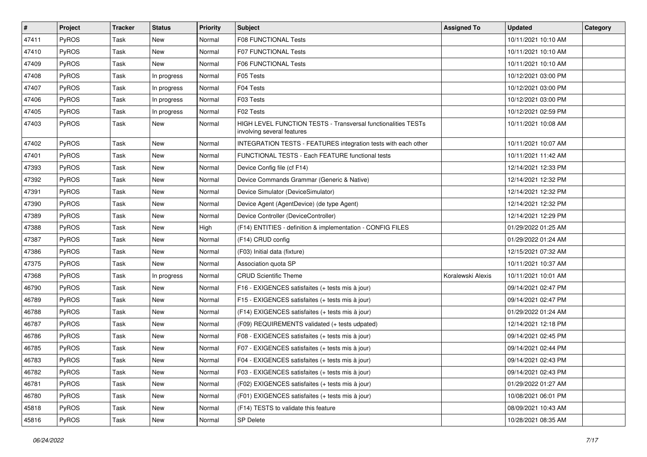| $\vert$ # | Project      | <b>Tracker</b> | <b>Status</b> | <b>Priority</b> | <b>Subject</b>                                                                              | <b>Assigned To</b> | <b>Updated</b>      | Category |
|-----------|--------------|----------------|---------------|-----------------|---------------------------------------------------------------------------------------------|--------------------|---------------------|----------|
| 47411     | PyROS        | Task           | New           | Normal          | <b>F08 FUNCTIONAL Tests</b>                                                                 |                    | 10/11/2021 10:10 AM |          |
| 47410     | PyROS        | Task           | <b>New</b>    | Normal          | F07 FUNCTIONAL Tests                                                                        |                    | 10/11/2021 10:10 AM |          |
| 47409     | <b>PyROS</b> | Task           | New           | Normal          | <b>F06 FUNCTIONAL Tests</b>                                                                 |                    | 10/11/2021 10:10 AM |          |
| 47408     | PyROS        | Task           | In progress   | Normal          | F05 Tests                                                                                   |                    | 10/12/2021 03:00 PM |          |
| 47407     | PyROS        | Task           | In progress   | Normal          | F04 Tests                                                                                   |                    | 10/12/2021 03:00 PM |          |
| 47406     | PyROS        | Task           | In progress   | Normal          | F03 Tests                                                                                   |                    | 10/12/2021 03:00 PM |          |
| 47405     | PyROS        | Task           | In progress   | Normal          | F02 Tests                                                                                   |                    | 10/12/2021 02:59 PM |          |
| 47403     | PyROS        | Task           | New           | Normal          | HIGH LEVEL FUNCTION TESTS - Transversal functionalities TESTs<br>involving several features |                    | 10/11/2021 10:08 AM |          |
| 47402     | PyROS        | Task           | <b>New</b>    | Normal          | INTEGRATION TESTS - FEATURES integration tests with each other                              |                    | 10/11/2021 10:07 AM |          |
| 47401     | PyROS        | Task           | New           | Normal          | FUNCTIONAL TESTS - Each FEATURE functional tests                                            |                    | 10/11/2021 11:42 AM |          |
| 47393     | PyROS        | Task           | <b>New</b>    | Normal          | Device Config file (cf F14)                                                                 |                    | 12/14/2021 12:33 PM |          |
| 47392     | PyROS        | Task           | New           | Normal          | Device Commands Grammar (Generic & Native)                                                  |                    | 12/14/2021 12:32 PM |          |
| 47391     | PyROS        | Task           | New           | Normal          | Device Simulator (DeviceSimulator)                                                          |                    | 12/14/2021 12:32 PM |          |
| 47390     | PyROS        | Task           | <b>New</b>    | Normal          | Device Agent (AgentDevice) (de type Agent)                                                  |                    | 12/14/2021 12:32 PM |          |
| 47389     | PyROS        | Task           | New           | Normal          | Device Controller (DeviceController)                                                        |                    | 12/14/2021 12:29 PM |          |
| 47388     | PyROS        | Task           | <b>New</b>    | High            | (F14) ENTITIES - definition & implementation - CONFIG FILES                                 |                    | 01/29/2022 01:25 AM |          |
| 47387     | PyROS        | Task           | <b>New</b>    | Normal          | (F14) CRUD config                                                                           |                    | 01/29/2022 01:24 AM |          |
| 47386     | PyROS        | Task           | <b>New</b>    | Normal          | (F03) Initial data (fixture)                                                                |                    | 12/15/2021 07:32 AM |          |
| 47375     | PyROS        | Task           | <b>New</b>    | Normal          | Association quota SP                                                                        |                    | 10/11/2021 10:37 AM |          |
| 47368     | PyROS        | Task           | In progress   | Normal          | <b>CRUD Scientific Theme</b>                                                                | Koralewski Alexis  | 10/11/2021 10:01 AM |          |
| 46790     | PyROS        | Task           | <b>New</b>    | Normal          | F16 - EXIGENCES satisfaites (+ tests mis à jour)                                            |                    | 09/14/2021 02:47 PM |          |
| 46789     | PyROS        | Task           | <b>New</b>    | Normal          | F15 - EXIGENCES satisfaites (+ tests mis à jour)                                            |                    | 09/14/2021 02:47 PM |          |
| 46788     | PyROS        | Task           | New           | Normal          | (F14) EXIGENCES satisfaites (+ tests mis à jour)                                            |                    | 01/29/2022 01:24 AM |          |
| 46787     | PyROS        | Task           | <b>New</b>    | Normal          | (F09) REQUIREMENTS validated (+ tests udpated)                                              |                    | 12/14/2021 12:18 PM |          |
| 46786     | PyROS        | Task           | New           | Normal          | F08 - EXIGENCES satisfaites (+ tests mis à jour)                                            |                    | 09/14/2021 02:45 PM |          |
| 46785     | PyROS        | Task           | New           | Normal          | F07 - EXIGENCES satisfaites (+ tests mis à jour)                                            |                    | 09/14/2021 02:44 PM |          |
| 46783     | PyROS        | Task           | New           | Normal          | F04 - EXIGENCES satisfaites (+ tests mis à jour)                                            |                    | 09/14/2021 02:43 PM |          |
| 46782     | PyROS        | Task           | New           | Normal          | F03 - EXIGENCES satisfaites (+ tests mis à jour)                                            |                    | 09/14/2021 02:43 PM |          |
| 46781     | PyROS        | Task           | New           | Normal          | (F02) EXIGENCES satisfaites (+ tests mis à jour)                                            |                    | 01/29/2022 01:27 AM |          |
| 46780     | PyROS        | Task           | New           | Normal          | (F01) EXIGENCES satisfaites (+ tests mis à jour)                                            |                    | 10/08/2021 06:01 PM |          |
| 45818     | PyROS        | Task           | New           | Normal          | (F14) TESTS to validate this feature                                                        |                    | 08/09/2021 10:43 AM |          |
| 45816     | PyROS        | Task           | New           | Normal          | SP Delete                                                                                   |                    | 10/28/2021 08:35 AM |          |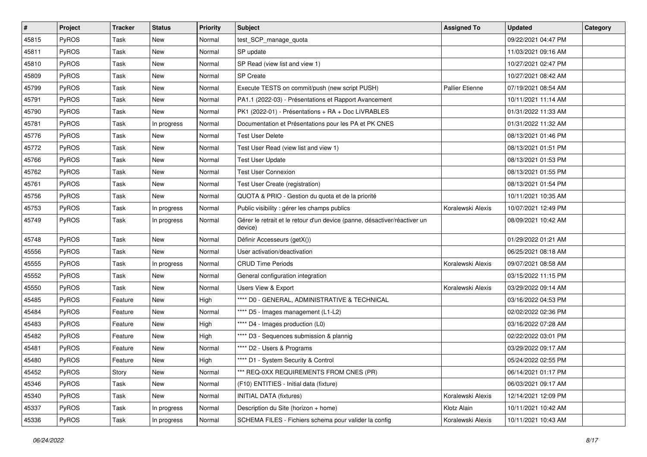| $\vert$ # | Project      | <b>Tracker</b> | <b>Status</b> | <b>Priority</b> | <b>Subject</b>                                                                       | <b>Assigned To</b>     | <b>Updated</b>      | Category |
|-----------|--------------|----------------|---------------|-----------------|--------------------------------------------------------------------------------------|------------------------|---------------------|----------|
| 45815     | PyROS        | Task           | New           | Normal          | test_SCP_manage_quota                                                                |                        | 09/22/2021 04:47 PM |          |
| 45811     | PyROS        | Task           | New           | Normal          | SP update                                                                            |                        | 11/03/2021 09:16 AM |          |
| 45810     | <b>PyROS</b> | Task           | New           | Normal          | SP Read (view list and view 1)                                                       |                        | 10/27/2021 02:47 PM |          |
| 45809     | PyROS        | Task           | New           | Normal          | SP Create                                                                            |                        | 10/27/2021 08:42 AM |          |
| 45799     | PyROS        | Task           | New           | Normal          | Execute TESTS on commit/push (new script PUSH)                                       | <b>Pallier Etienne</b> | 07/19/2021 08:54 AM |          |
| 45791     | PyROS        | Task           | New           | Normal          | PA1.1 (2022-03) - Présentations et Rapport Avancement                                |                        | 10/11/2021 11:14 AM |          |
| 45790     | PyROS        | Task           | New           | Normal          | PK1 (2022-01) - Présentations + RA + Doc LIVRABLES                                   |                        | 01/31/2022 11:33 AM |          |
| 45781     | <b>PyROS</b> | Task           | In progress   | Normal          | Documentation et Présentations pour les PA et PK CNES                                |                        | 01/31/2022 11:32 AM |          |
| 45776     | PyROS        | Task           | New           | Normal          | <b>Test User Delete</b>                                                              |                        | 08/13/2021 01:46 PM |          |
| 45772     | PyROS        | Task           | New           | Normal          | Test User Read (view list and view 1)                                                |                        | 08/13/2021 01:51 PM |          |
| 45766     | PyROS        | Task           | New           | Normal          | <b>Test User Update</b>                                                              |                        | 08/13/2021 01:53 PM |          |
| 45762     | PyROS        | Task           | New           | Normal          | <b>Test User Connexion</b>                                                           |                        | 08/13/2021 01:55 PM |          |
| 45761     | PyROS        | Task           | New           | Normal          | Test User Create (registration)                                                      |                        | 08/13/2021 01:54 PM |          |
| 45756     | PyROS        | Task           | New           | Normal          | QUOTA & PRIO - Gestion du quota et de la priorité                                    |                        | 10/11/2021 10:35 AM |          |
| 45753     | PyROS        | Task           | In progress   | Normal          | Public visibility : gérer les champs publics                                         | Koralewski Alexis      | 10/07/2021 12:49 PM |          |
| 45749     | <b>PyROS</b> | Task           | In progress   | Normal          | Gérer le retrait et le retour d'un device (panne, désactiver/réactiver un<br>device) |                        | 08/09/2021 10:42 AM |          |
| 45748     | PyROS        | Task           | New           | Normal          | Définir Accesseurs (getX())                                                          |                        | 01/29/2022 01:21 AM |          |
| 45556     | PyROS        | Task           | New           | Normal          | User activation/deactivation                                                         |                        | 06/25/2021 08:18 AM |          |
| 45555     | PyROS        | Task           | In progress   | Normal          | <b>CRUD Time Periods</b>                                                             | Koralewski Alexis      | 09/07/2021 08:58 AM |          |
| 45552     | PyROS        | Task           | New           | Normal          | General configuration integration                                                    |                        | 03/15/2022 11:15 PM |          |
| 45550     | PyROS        | Task           | New           | Normal          | Users View & Export                                                                  | Koralewski Alexis      | 03/29/2022 09:14 AM |          |
| 45485     | PyROS        | Feature        | New           | High            | **** D0 - GENERAL, ADMINISTRATIVE & TECHNICAL                                        |                        | 03/16/2022 04:53 PM |          |
| 45484     | PyROS        | Feature        | New           | Normal          | **** D5 - Images management (L1-L2)                                                  |                        | 02/02/2022 02:36 PM |          |
| 45483     | PyROS        | Feature        | New           | High            | **** D4 - Images production (L0)                                                     |                        | 03/16/2022 07:28 AM |          |
| 45482     | <b>PyROS</b> | Feature        | New           | High            | **** D3 - Sequences submission & plannig                                             |                        | 02/22/2022 03:01 PM |          |
| 45481     | PyROS        | Feature        | New           | Normal          | **** D2 - Users & Programs                                                           |                        | 03/29/2022 09:17 AM |          |
| 45480     | PyROS        | Feature        | New           | High            | **** D1 - System Security & Control                                                  |                        | 05/24/2022 02:55 PM |          |
| 45452     | PyROS        | Story          | New           | Normal          | *** REQ-0XX REQUIREMENTS FROM CNES (PR)                                              |                        | 06/14/2021 01:17 PM |          |
| 45346     | PyROS        | Task           | New           | Normal          | (F10) ENTITIES - Initial data (fixture)                                              |                        | 06/03/2021 09:17 AM |          |
| 45340     | PyROS        | Task           | New           | Normal          | <b>INITIAL DATA (fixtures)</b>                                                       | Koralewski Alexis      | 12/14/2021 12:09 PM |          |
| 45337     | PyROS        | Task           | In progress   | Normal          | Description du Site (horizon + home)                                                 | Klotz Alain            | 10/11/2021 10:42 AM |          |
| 45336     | PyROS        | Task           | In progress   | Normal          | SCHEMA FILES - Fichiers schema pour valider la config                                | Koralewski Alexis      | 10/11/2021 10:43 AM |          |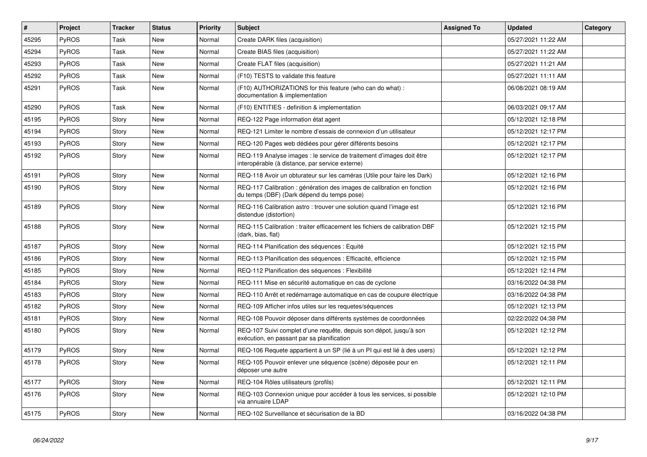| $\pmb{\#}$ | Project      | <b>Tracker</b> | <b>Status</b> | <b>Priority</b> | <b>Subject</b>                                                                                                          | <b>Assigned To</b> | <b>Updated</b>      | Category |
|------------|--------------|----------------|---------------|-----------------|-------------------------------------------------------------------------------------------------------------------------|--------------------|---------------------|----------|
| 45295      | PyROS        | Task           | <b>New</b>    | Normal          | Create DARK files (acquisition)                                                                                         |                    | 05/27/2021 11:22 AM |          |
| 45294      | PyROS        | Task           | <b>New</b>    | Normal          | Create BIAS files (acquisition)                                                                                         |                    | 05/27/2021 11:22 AM |          |
| 45293      | <b>PyROS</b> | Task           | <b>New</b>    | Normal          | Create FLAT files (acquisition)                                                                                         |                    | 05/27/2021 11:21 AM |          |
| 45292      | PyROS        | Task           | New           | Normal          | (F10) TESTS to validate this feature                                                                                    |                    | 05/27/2021 11:11 AM |          |
| 45291      | PyROS        | Task           | <b>New</b>    | Normal          | (F10) AUTHORIZATIONS for this feature (who can do what) :<br>documentation & implementation                             |                    | 06/08/2021 08:19 AM |          |
| 45290      | PyROS        | Task           | <b>New</b>    | Normal          | (F10) ENTITIES - definition & implementation                                                                            |                    | 06/03/2021 09:17 AM |          |
| 45195      | PyROS        | Story          | <b>New</b>    | Normal          | REQ-122 Page information état agent                                                                                     |                    | 05/12/2021 12:18 PM |          |
| 45194      | <b>PyROS</b> | Story          | <b>New</b>    | Normal          | REQ-121 Limiter le nombre d'essais de connexion d'un utilisateur                                                        |                    | 05/12/2021 12:17 PM |          |
| 45193      | <b>PyROS</b> | Story          | <b>New</b>    | Normal          | REQ-120 Pages web dédiées pour gérer différents besoins                                                                 |                    | 05/12/2021 12:17 PM |          |
| 45192      | <b>PyROS</b> | Story          | <b>New</b>    | Normal          | REQ-119 Analyse images : le service de traitement d'images doit être<br>interopérable (à distance, par service externe) |                    | 05/12/2021 12:17 PM |          |
| 45191      | <b>PyROS</b> | Story          | <b>New</b>    | Normal          | REQ-118 Avoir un obturateur sur les caméras (Utile pour faire les Dark)                                                 |                    | 05/12/2021 12:16 PM |          |
| 45190      | PyROS        | Story          | <b>New</b>    | Normal          | REQ-117 Calibration : génération des images de calibration en fonction<br>du temps (DBF) (Dark dépend du temps pose)    |                    | 05/12/2021 12:16 PM |          |
| 45189      | <b>PyROS</b> | Story          | <b>New</b>    | Normal          | REQ-116 Calibration astro: trouver une solution quand l'image est<br>distendue (distortion)                             |                    | 05/12/2021 12:16 PM |          |
| 45188      | <b>PyROS</b> | Story          | <b>New</b>    | Normal          | REQ-115 Calibration: traiter efficacement les fichiers de calibration DBF<br>(dark, bias, flat)                         |                    | 05/12/2021 12:15 PM |          |
| 45187      | PyROS        | Story          | <b>New</b>    | Normal          | REQ-114 Planification des séquences : Equité                                                                            |                    | 05/12/2021 12:15 PM |          |
| 45186      | PyROS        | Story          | <b>New</b>    | Normal          | REQ-113 Planification des séquences : Efficacité, efficience                                                            |                    | 05/12/2021 12:15 PM |          |
| 45185      | <b>PyROS</b> | Story          | <b>New</b>    | Normal          | REQ-112 Planification des séquences : Flexibilité                                                                       |                    | 05/12/2021 12:14 PM |          |
| 45184      | <b>PyROS</b> | Story          | <b>New</b>    | Normal          | REQ-111 Mise en sécurité automatique en cas de cyclone                                                                  |                    | 03/16/2022 04:38 PM |          |
| 45183      | <b>PyROS</b> | Story          | <b>New</b>    | Normal          | REQ-110 Arrêt et redémarrage automatique en cas de coupure électrique                                                   |                    | 03/16/2022 04:38 PM |          |
| 45182      | <b>PyROS</b> | Story          | <b>New</b>    | Normal          | REQ-109 Afficher infos utiles sur les requetes/séquences                                                                |                    | 05/12/2021 12:13 PM |          |
| 45181      | <b>PyROS</b> | Story          | <b>New</b>    | Normal          | REQ-108 Pouvoir déposer dans différents systèmes de coordonnées                                                         |                    | 02/22/2022 04:38 PM |          |
| 45180      | <b>PyROS</b> | Story          | <b>New</b>    | Normal          | REQ-107 Suivi complet d'une requête, depuis son dépot, jusqu'à son<br>exécution, en passant par sa planification        |                    | 05/12/2021 12:12 PM |          |
| 45179      | <b>PyROS</b> | Story          | <b>New</b>    | Normal          | REQ-106 Requete appartient à un SP (lié à un PI qui est lié à des users)                                                |                    | 05/12/2021 12:12 PM |          |
| 45178      | <b>PyROS</b> | Story          | <b>New</b>    | Normal          | REQ-105 Pouvoir enlever une séquence (scène) déposée pour en<br>déposer une autre                                       |                    | 05/12/2021 12:11 PM |          |
| 45177      | <b>PyROS</b> | Story          | <b>New</b>    | Normal          | REQ-104 Rôles utilisateurs (profils)                                                                                    |                    | 05/12/2021 12:11 PM |          |
| 45176      | <b>PyROS</b> | Story          | <b>New</b>    | Normal          | REQ-103 Connexion unique pour accéder à tous les services, si possible<br>via annuaire LDAP                             |                    | 05/12/2021 12:10 PM |          |
| 45175      | <b>PyROS</b> | Story          | <b>New</b>    | Normal          | REQ-102 Surveillance et sécurisation de la BD                                                                           |                    | 03/16/2022 04:38 PM |          |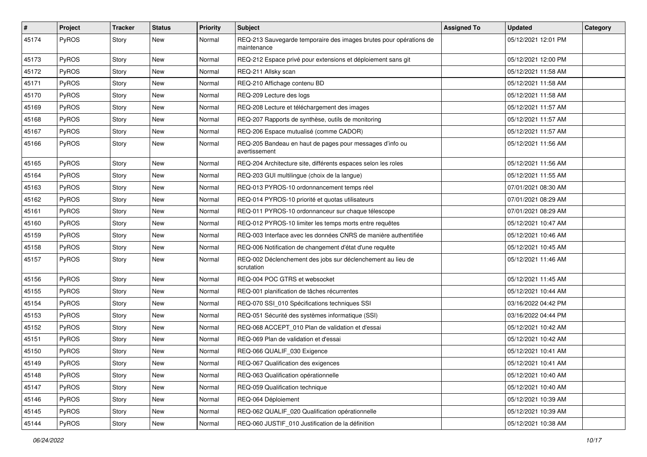| $\vert$ # | Project      | <b>Tracker</b> | <b>Status</b> | <b>Priority</b> | <b>Subject</b>                                                                    | <b>Assigned To</b> | <b>Updated</b>      | Category |
|-----------|--------------|----------------|---------------|-----------------|-----------------------------------------------------------------------------------|--------------------|---------------------|----------|
| 45174     | <b>PyROS</b> | Story          | New           | Normal          | REQ-213 Sauvegarde temporaire des images brutes pour opérations de<br>maintenance |                    | 05/12/2021 12:01 PM |          |
| 45173     | <b>PyROS</b> | Story          | New           | Normal          | REQ-212 Espace privé pour extensions et déploiement sans git                      |                    | 05/12/2021 12:00 PM |          |
| 45172     | PyROS        | Story          | New           | Normal          | REQ-211 Allsky scan                                                               |                    | 05/12/2021 11:58 AM |          |
| 45171     | PyROS        | Story          | New           | Normal          | REQ-210 Affichage contenu BD                                                      |                    | 05/12/2021 11:58 AM |          |
| 45170     | PyROS        | Story          | New           | Normal          | REQ-209 Lecture des logs                                                          |                    | 05/12/2021 11:58 AM |          |
| 45169     | PyROS        | Story          | New           | Normal          | REQ-208 Lecture et téléchargement des images                                      |                    | 05/12/2021 11:57 AM |          |
| 45168     | PyROS        | Story          | New           | Normal          | REQ-207 Rapports de synthèse, outils de monitoring                                |                    | 05/12/2021 11:57 AM |          |
| 45167     | PyROS        | Story          | New           | Normal          | REQ-206 Espace mutualisé (comme CADOR)                                            |                    | 05/12/2021 11:57 AM |          |
| 45166     | PyROS        | Story          | New           | Normal          | REQ-205 Bandeau en haut de pages pour messages d'info ou<br>avertissement         |                    | 05/12/2021 11:56 AM |          |
| 45165     | PyROS        | Story          | New           | Normal          | REQ-204 Architecture site, différents espaces selon les roles                     |                    | 05/12/2021 11:56 AM |          |
| 45164     | PyROS        | Story          | New           | Normal          | REQ-203 GUI multilingue (choix de la langue)                                      |                    | 05/12/2021 11:55 AM |          |
| 45163     | PyROS        | Story          | New           | Normal          | REQ-013 PYROS-10 ordonnancement temps réel                                        |                    | 07/01/2021 08:30 AM |          |
| 45162     | PyROS        | Story          | New           | Normal          | REQ-014 PYROS-10 priorité et quotas utilisateurs                                  |                    | 07/01/2021 08:29 AM |          |
| 45161     | PyROS        | Story          | New           | Normal          | REQ-011 PYROS-10 ordonnanceur sur chaque télescope                                |                    | 07/01/2021 08:29 AM |          |
| 45160     | PyROS        | Story          | New           | Normal          | REQ-012 PYROS-10 limiter les temps morts entre requêtes                           |                    | 05/12/2021 10:47 AM |          |
| 45159     | PyROS        | Story          | New           | Normal          | REQ-003 Interface avec les données CNRS de manière authentifiée                   |                    | 05/12/2021 10:46 AM |          |
| 45158     | <b>PyROS</b> | Story          | New           | Normal          | REQ-006 Notification de changement d'état d'une requête                           |                    | 05/12/2021 10:45 AM |          |
| 45157     | <b>PyROS</b> | Story          | New           | Normal          | REQ-002 Déclenchement des jobs sur déclenchement au lieu de<br>scrutation         |                    | 05/12/2021 11:46 AM |          |
| 45156     | PyROS        | Story          | New           | Normal          | REQ-004 POC GTRS et websocket                                                     |                    | 05/12/2021 11:45 AM |          |
| 45155     | PyROS        | Story          | New           | Normal          | REQ-001 planification de tâches récurrentes                                       |                    | 05/12/2021 10:44 AM |          |
| 45154     | <b>PyROS</b> | Story          | New           | Normal          | REQ-070 SSI_010 Spécifications techniques SSI                                     |                    | 03/16/2022 04:42 PM |          |
| 45153     | PyROS        | Story          | New           | Normal          | REQ-051 Sécurité des systèmes informatique (SSI)                                  |                    | 03/16/2022 04:44 PM |          |
| 45152     | PyROS        | Story          | New           | Normal          | REQ-068 ACCEPT 010 Plan de validation et d'essai                                  |                    | 05/12/2021 10:42 AM |          |
| 45151     | PyROS        | Story          | New           | Normal          | REQ-069 Plan de validation et d'essai                                             |                    | 05/12/2021 10:42 AM |          |
| 45150     | PyROS        | Story          | New           | Normal          | REQ-066 QUALIF_030 Exigence                                                       |                    | 05/12/2021 10:41 AM |          |
| 45149     | PyROS        | Story          | New           | Normal          | REQ-067 Qualification des exigences                                               |                    | 05/12/2021 10:41 AM |          |
| 45148     | PyROS        | Story          | New           | Normal          | REQ-063 Qualification opérationnelle                                              |                    | 05/12/2021 10:40 AM |          |
| 45147     | PyROS        | Story          | New           | Normal          | REQ-059 Qualification technique                                                   |                    | 05/12/2021 10:40 AM |          |
| 45146     | PyROS        | Story          | New           | Normal          | REQ-064 Déploiement                                                               |                    | 05/12/2021 10:39 AM |          |
| 45145     | PyROS        | Story          | New           | Normal          | REQ-062 QUALIF_020 Qualification opérationnelle                                   |                    | 05/12/2021 10:39 AM |          |
| 45144     | PyROS        | Story          | New           | Normal          | REQ-060 JUSTIF_010 Justification de la définition                                 |                    | 05/12/2021 10:38 AM |          |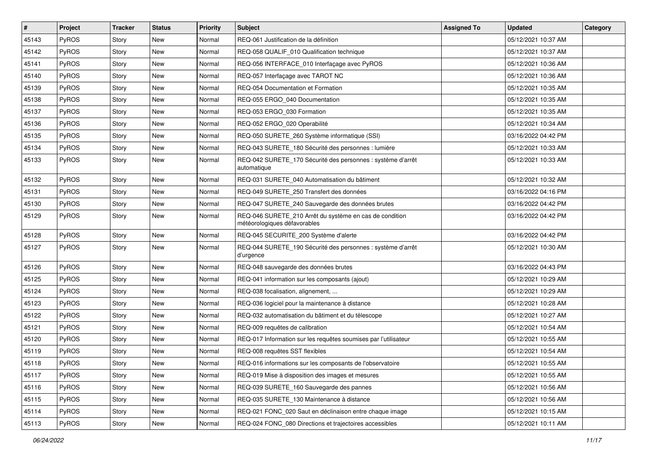| $\pmb{\#}$ | Project      | <b>Tracker</b> | <b>Status</b> | <b>Priority</b> | <b>Subject</b>                                                                          | <b>Assigned To</b> | <b>Updated</b>      | Category |
|------------|--------------|----------------|---------------|-----------------|-----------------------------------------------------------------------------------------|--------------------|---------------------|----------|
| 45143      | <b>PyROS</b> | Story          | New           | Normal          | REQ-061 Justification de la définition                                                  |                    | 05/12/2021 10:37 AM |          |
| 45142      | PyROS        | Story          | New           | Normal          | REQ-058 QUALIF_010 Qualification technique                                              |                    | 05/12/2021 10:37 AM |          |
| 45141      | <b>PyROS</b> | Story          | New           | Normal          | REQ-056 INTERFACE_010 Interfaçage avec PyROS                                            |                    | 05/12/2021 10:36 AM |          |
| 45140      | PyROS        | Story          | New           | Normal          | REQ-057 Interfaçage avec TAROT NC                                                       |                    | 05/12/2021 10:36 AM |          |
| 45139      | <b>PyROS</b> | Story          | New           | Normal          | REQ-054 Documentation et Formation                                                      |                    | 05/12/2021 10:35 AM |          |
| 45138      | PyROS        | Story          | New           | Normal          | REQ-055 ERGO 040 Documentation                                                          |                    | 05/12/2021 10:35 AM |          |
| 45137      | PyROS        | Story          | New           | Normal          | REQ-053 ERGO_030 Formation                                                              |                    | 05/12/2021 10:35 AM |          |
| 45136      | <b>PyROS</b> | Story          | New           | Normal          | REQ-052 ERGO 020 Operabilité                                                            |                    | 05/12/2021 10:34 AM |          |
| 45135      | PyROS        | Story          | New           | Normal          | REQ-050 SURETE_260 Système informatique (SSI)                                           |                    | 03/16/2022 04:42 PM |          |
| 45134      | <b>PyROS</b> | Story          | New           | Normal          | REQ-043 SURETE_180 Sécurité des personnes : lumière                                     |                    | 05/12/2021 10:33 AM |          |
| 45133      | <b>PyROS</b> | Story          | New           | Normal          | REQ-042 SURETE 170 Sécurité des personnes : système d'arrêt<br>automatique              |                    | 05/12/2021 10:33 AM |          |
| 45132      | PyROS        | Story          | New           | Normal          | REQ-031 SURETE 040 Automatisation du bâtiment                                           |                    | 05/12/2021 10:32 AM |          |
| 45131      | PyROS        | Story          | New           | Normal          | REQ-049 SURETE 250 Transfert des données                                                |                    | 03/16/2022 04:16 PM |          |
| 45130      | PyROS        | Story          | New           | Normal          | REQ-047 SURETE_240 Sauvegarde des données brutes                                        |                    | 03/16/2022 04:42 PM |          |
| 45129      | <b>PyROS</b> | Story          | New           | Normal          | REQ-046 SURETE_210 Arrêt du système en cas de condition<br>météorologiques défavorables |                    | 03/16/2022 04:42 PM |          |
| 45128      | <b>PyROS</b> | Story          | New           | Normal          | REQ-045 SECURITE_200 Système d'alerte                                                   |                    | 03/16/2022 04:42 PM |          |
| 45127      | PyROS        | Story          | New           | Normal          | REQ-044 SURETE 190 Sécurité des personnes : système d'arrêt<br>d'urgence                |                    | 05/12/2021 10:30 AM |          |
| 45126      | PyROS        | Story          | New           | Normal          | REQ-048 sauvegarde des données brutes                                                   |                    | 03/16/2022 04:43 PM |          |
| 45125      | <b>PyROS</b> | Story          | New           | Normal          | REQ-041 information sur les composants (ajout)                                          |                    | 05/12/2021 10:29 AM |          |
| 45124      | PyROS        | Story          | New           | Normal          | REQ-038 focalisation, alignement,                                                       |                    | 05/12/2021 10:29 AM |          |
| 45123      | <b>PyROS</b> | Story          | New           | Normal          | REQ-036 logiciel pour la maintenance à distance                                         |                    | 05/12/2021 10:28 AM |          |
| 45122      | PyROS        | Story          | New           | Normal          | REQ-032 automatisation du bâtiment et du télescope                                      |                    | 05/12/2021 10:27 AM |          |
| 45121      | PyROS        | Story          | New           | Normal          | REQ-009 requêtes de calibration                                                         |                    | 05/12/2021 10:54 AM |          |
| 45120      | PyROS        | Story          | New           | Normal          | REQ-017 Information sur les requêtes soumises par l'utilisateur                         |                    | 05/12/2021 10:55 AM |          |
| 45119      | PyROS        | Story          | New           | Normal          | REQ-008 requêtes SST flexibles                                                          |                    | 05/12/2021 10:54 AM |          |
| 45118      | PyROS        | Story          | New           | Normal          | REQ-016 informations sur les composants de l'observatoire                               |                    | 05/12/2021 10:55 AM |          |
| 45117      | PyROS        | Story          | New           | Normal          | REQ-019 Mise à disposition des images et mesures                                        |                    | 05/12/2021 10:55 AM |          |
| 45116      | PyROS        | Story          | New           | Normal          | REQ-039 SURETE_160 Sauvegarde des pannes                                                |                    | 05/12/2021 10:56 AM |          |
| 45115      | PyROS        | Story          | New           | Normal          | REQ-035 SURETE 130 Maintenance à distance                                               |                    | 05/12/2021 10:56 AM |          |
| 45114      | <b>PyROS</b> | Story          | New           | Normal          | REQ-021 FONC_020 Saut en déclinaison entre chaque image                                 |                    | 05/12/2021 10:15 AM |          |
| 45113      | PyROS        | Story          | New           | Normal          | REQ-024 FONC 080 Directions et trajectoires accessibles                                 |                    | 05/12/2021 10:11 AM |          |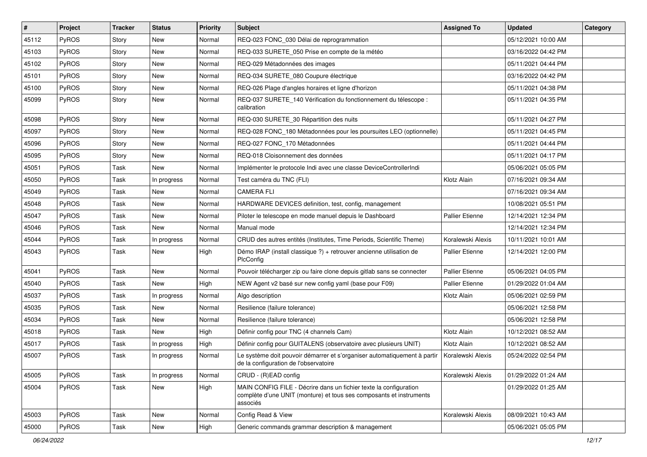| $\vert$ # | Project      | <b>Tracker</b> | <b>Status</b> | <b>Priority</b> | <b>Subject</b>                                                                                                                                       | <b>Assigned To</b>     | <b>Updated</b>      | Category |
|-----------|--------------|----------------|---------------|-----------------|------------------------------------------------------------------------------------------------------------------------------------------------------|------------------------|---------------------|----------|
| 45112     | PyROS        | Story          | New           | Normal          | REQ-023 FONC 030 Délai de reprogrammation                                                                                                            |                        | 05/12/2021 10:00 AM |          |
| 45103     | PyROS        | Story          | <b>New</b>    | Normal          | REQ-033 SURETE_050 Prise en compte de la météo                                                                                                       |                        | 03/16/2022 04:42 PM |          |
| 45102     | <b>PyROS</b> | Story          | New           | Normal          | REQ-029 Métadonnées des images                                                                                                                       |                        | 05/11/2021 04:44 PM |          |
| 45101     | PyROS        | Story          | New           | Normal          | REQ-034 SURETE_080 Coupure électrique                                                                                                                |                        | 03/16/2022 04:42 PM |          |
| 45100     | PyROS        | Story          | <b>New</b>    | Normal          | REQ-026 Plage d'angles horaires et ligne d'horizon                                                                                                   |                        | 05/11/2021 04:38 PM |          |
| 45099     | PyROS        | Story          | New           | Normal          | REQ-037 SURETE_140 Vérification du fonctionnement du télescope :<br>calibration                                                                      |                        | 05/11/2021 04:35 PM |          |
| 45098     | PyROS        | Story          | New           | Normal          | REQ-030 SURETE_30 Répartition des nuits                                                                                                              |                        | 05/11/2021 04:27 PM |          |
| 45097     | PyROS        | Story          | New           | Normal          | REQ-028 FONC_180 Métadonnées pour les poursuites LEO (optionnelle)                                                                                   |                        | 05/11/2021 04:45 PM |          |
| 45096     | PyROS        | Story          | <b>New</b>    | Normal          | REQ-027 FONC_170 Métadonnées                                                                                                                         |                        | 05/11/2021 04:44 PM |          |
| 45095     | PyROS        | Story          | New           | Normal          | REQ-018 Cloisonnement des données                                                                                                                    |                        | 05/11/2021 04:17 PM |          |
| 45051     | PyROS        | Task           | New           | Normal          | Implémenter le protocole Indi avec une classe DeviceControllerIndi                                                                                   |                        | 05/06/2021 05:05 PM |          |
| 45050     | PyROS        | Task           | In progress   | Normal          | Test caméra du TNC (FLI)                                                                                                                             | Klotz Alain            | 07/16/2021 09:34 AM |          |
| 45049     | PyROS        | Task           | New           | Normal          | <b>CAMERA FLI</b>                                                                                                                                    |                        | 07/16/2021 09:34 AM |          |
| 45048     | PyROS        | Task           | New           | Normal          | HARDWARE DEVICES definition, test, config, management                                                                                                |                        | 10/08/2021 05:51 PM |          |
| 45047     | PyROS        | Task           | New           | Normal          | Piloter le telescope en mode manuel depuis le Dashboard                                                                                              | <b>Pallier Etienne</b> | 12/14/2021 12:34 PM |          |
| 45046     | PyROS        | Task           | New           | Normal          | Manual mode                                                                                                                                          |                        | 12/14/2021 12:34 PM |          |
| 45044     | PyROS        | Task           | In progress   | Normal          | CRUD des autres entités (Institutes, Time Periods, Scientific Theme)                                                                                 | Koralewski Alexis      | 10/11/2021 10:01 AM |          |
| 45043     | PyROS        | Task           | <b>New</b>    | High            | Démo IRAP (install classique ?) + retrouver ancienne utilisation de<br>PlcConfig                                                                     | <b>Pallier Etienne</b> | 12/14/2021 12:00 PM |          |
| 45041     | PyROS        | Task           | New           | Normal          | Pouvoir télécharger zip ou faire clone depuis gitlab sans se connecter                                                                               | <b>Pallier Etienne</b> | 05/06/2021 04:05 PM |          |
| 45040     | PyROS        | Task           | New           | High            | NEW Agent v2 basé sur new config yaml (base pour F09)                                                                                                | <b>Pallier Etienne</b> | 01/29/2022 01:04 AM |          |
| 45037     | PyROS        | Task           | In progress   | Normal          | Algo description                                                                                                                                     | Klotz Alain            | 05/06/2021 02:59 PM |          |
| 45035     | PyROS        | Task           | New           | Normal          | Resilience (failure tolerance)                                                                                                                       |                        | 05/06/2021 12:58 PM |          |
| 45034     | PyROS        | Task           | New           | Normal          | Resilience (failure tolerance)                                                                                                                       |                        | 05/06/2021 12:58 PM |          |
| 45018     | PyROS        | Task           | New           | High            | Définir config pour TNC (4 channels Cam)                                                                                                             | Klotz Alain            | 10/12/2021 08:52 AM |          |
| 45017     | PyROS        | Task           | In progress   | High            | Définir config pour GUITALENS (observatoire avec plusieurs UNIT)                                                                                     | Klotz Alain            | 10/12/2021 08:52 AM |          |
| 45007     | PyROS        | Task           | In progress   | Normal          | Le système doit pouvoir démarrer et s'organiser automatiquement à partir<br>de la configuration de l'observatoire                                    | Koralewski Alexis      | 05/24/2022 02:54 PM |          |
| 45005     | PyROS        | Task           | In progress   | Normal          | CRUD - (R)EAD config                                                                                                                                 | Koralewski Alexis      | 01/29/2022 01:24 AM |          |
| 45004     | PyROS        | Task           | New           | High            | MAIN CONFIG FILE - Décrire dans un fichier texte la configuration<br>complète d'une UNIT (monture) et tous ses composants et instruments<br>associés |                        | 01/29/2022 01:25 AM |          |
| 45003     | PyROS        | Task           | New           | Normal          | Config Read & View                                                                                                                                   | Koralewski Alexis      | 08/09/2021 10:43 AM |          |
| 45000     | PyROS        | Task           | New           | High            | Generic commands grammar description & management                                                                                                    |                        | 05/06/2021 05:05 PM |          |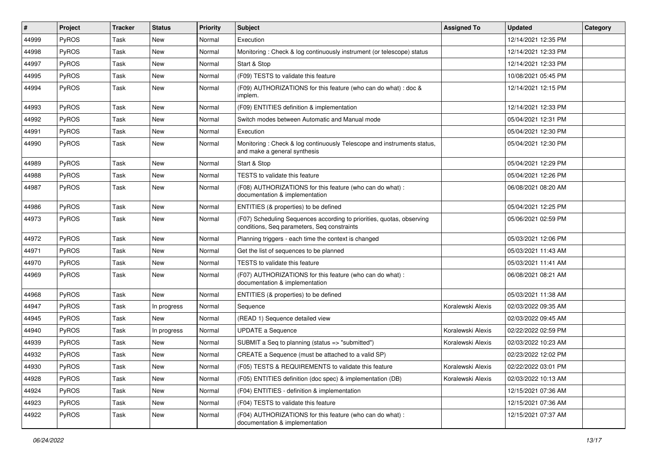| #     | Project      | <b>Tracker</b> | <b>Status</b> | Priority | <b>Subject</b>                                                                                                       | <b>Assigned To</b> | <b>Updated</b>      | Category |
|-------|--------------|----------------|---------------|----------|----------------------------------------------------------------------------------------------------------------------|--------------------|---------------------|----------|
| 44999 | PyROS        | Task           | <b>New</b>    | Normal   | Execution                                                                                                            |                    | 12/14/2021 12:35 PM |          |
| 44998 | PyROS        | Task           | <b>New</b>    | Normal   | Monitoring: Check & log continuously instrument (or telescope) status                                                |                    | 12/14/2021 12:33 PM |          |
| 44997 | PyROS        | Task           | <b>New</b>    | Normal   | Start & Stop                                                                                                         |                    | 12/14/2021 12:33 PM |          |
| 44995 | PyROS        | Task           | <b>New</b>    | Normal   | (F09) TESTS to validate this feature                                                                                 |                    | 10/08/2021 05:45 PM |          |
| 44994 | PyROS        | Task           | <b>New</b>    | Normal   | (F09) AUTHORIZATIONS for this feature (who can do what) : doc &<br>implem.                                           |                    | 12/14/2021 12:15 PM |          |
| 44993 | PyROS        | Task           | <b>New</b>    | Normal   | (F09) ENTITIES definition & implementation                                                                           |                    | 12/14/2021 12:33 PM |          |
| 44992 | PyROS        | Task           | <b>New</b>    | Normal   | Switch modes between Automatic and Manual mode                                                                       |                    | 05/04/2021 12:31 PM |          |
| 44991 | PyROS        | Task           | <b>New</b>    | Normal   | Execution                                                                                                            |                    | 05/04/2021 12:30 PM |          |
| 44990 | PyROS        | Task           | <b>New</b>    | Normal   | Monitoring: Check & log continuously Telescope and instruments status,<br>and make a general synthesis               |                    | 05/04/2021 12:30 PM |          |
| 44989 | PyROS        | Task           | <b>New</b>    | Normal   | Start & Stop                                                                                                         |                    | 05/04/2021 12:29 PM |          |
| 44988 | PyROS        | Task           | <b>New</b>    | Normal   | TESTS to validate this feature                                                                                       |                    | 05/04/2021 12:26 PM |          |
| 44987 | PyROS        | Task           | <b>New</b>    | Normal   | (F08) AUTHORIZATIONS for this feature (who can do what) :<br>documentation & implementation                          |                    | 06/08/2021 08:20 AM |          |
| 44986 | PyROS        | Task           | <b>New</b>    | Normal   | ENTITIES (& properties) to be defined                                                                                |                    | 05/04/2021 12:25 PM |          |
| 44973 | PyROS        | Task           | <b>New</b>    | Normal   | (F07) Scheduling Sequences according to priorities, quotas, observing<br>conditions, Seq parameters, Seq constraints |                    | 05/06/2021 02:59 PM |          |
| 44972 | PyROS        | Task           | <b>New</b>    | Normal   | Planning triggers - each time the context is changed                                                                 |                    | 05/03/2021 12:06 PM |          |
| 44971 | PyROS        | Task           | <b>New</b>    | Normal   | Get the list of sequences to be planned                                                                              |                    | 05/03/2021 11:43 AM |          |
| 44970 | PyROS        | Task           | <b>New</b>    | Normal   | <b>TESTS</b> to validate this feature                                                                                |                    | 05/03/2021 11:41 AM |          |
| 44969 | PyROS        | Task           | <b>New</b>    | Normal   | (F07) AUTHORIZATIONS for this feature (who can do what) :<br>documentation & implementation                          |                    | 06/08/2021 08:21 AM |          |
| 44968 | PyROS        | Task           | New           | Normal   | ENTITIES (& properties) to be defined                                                                                |                    | 05/03/2021 11:38 AM |          |
| 44947 | PyROS        | Task           | In progress   | Normal   | Sequence                                                                                                             | Koralewski Alexis  | 02/03/2022 09:35 AM |          |
| 44945 | PyROS        | Task           | <b>New</b>    | Normal   | (READ 1) Sequence detailed view                                                                                      |                    | 02/03/2022 09:45 AM |          |
| 44940 | <b>PyROS</b> | Task           | In progress   | Normal   | <b>UPDATE a Sequence</b>                                                                                             | Koralewski Alexis  | 02/22/2022 02:59 PM |          |
| 44939 | PyROS        | Task           | <b>New</b>    | Normal   | SUBMIT a Seq to planning (status => "submitted")                                                                     | Koralewski Alexis  | 02/03/2022 10:23 AM |          |
| 44932 | PyROS        | Task           | <b>New</b>    | Normal   | CREATE a Sequence (must be attached to a valid SP)                                                                   |                    | 02/23/2022 12:02 PM |          |
| 44930 | PyROS        | Task           | New           | Normal   | (F05) TESTS & REQUIREMENTS to validate this feature                                                                  | Koralewski Alexis  | 02/22/2022 03:01 PM |          |
| 44928 | PyROS        | Task           | New           | Normal   | (F05) ENTITIES definition (doc spec) & implementation (DB)                                                           | Koralewski Alexis  | 02/03/2022 10:13 AM |          |
| 44924 | PyROS        | Task           | New           | Normal   | (F04) ENTITIES - definition & implementation                                                                         |                    | 12/15/2021 07:36 AM |          |
| 44923 | PyROS        | Task           | New           | Normal   | (F04) TESTS to validate this feature                                                                                 |                    | 12/15/2021 07:36 AM |          |
| 44922 | PyROS        | Task           | New           | Normal   | (F04) AUTHORIZATIONS for this feature (who can do what) :<br>documentation & implementation                          |                    | 12/15/2021 07:37 AM |          |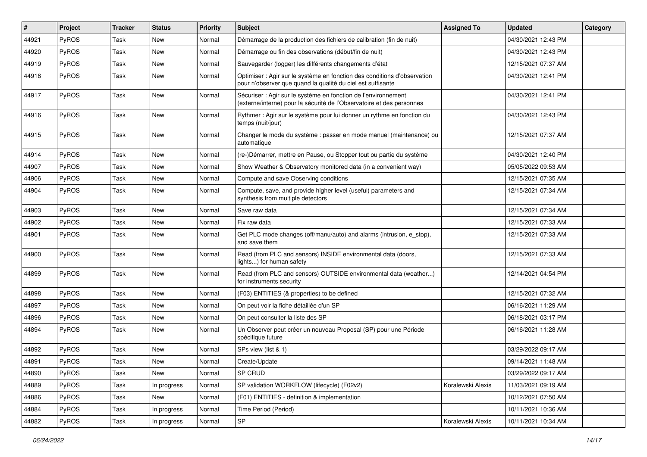| #     | Project      | <b>Tracker</b> | <b>Status</b> | <b>Priority</b> | Subject                                                                                                                                 | <b>Assigned To</b> | <b>Updated</b>      | Category |
|-------|--------------|----------------|---------------|-----------------|-----------------------------------------------------------------------------------------------------------------------------------------|--------------------|---------------------|----------|
| 44921 | PyROS        | Task           | <b>New</b>    | Normal          | Démarrage de la production des fichiers de calibration (fin de nuit)                                                                    |                    | 04/30/2021 12:43 PM |          |
| 44920 | PyROS        | Task           | <b>New</b>    | Normal          | Démarrage ou fin des observations (début/fin de nuit)                                                                                   |                    | 04/30/2021 12:43 PM |          |
| 44919 | PyROS        | Task           | <b>New</b>    | Normal          | Sauvegarder (logger) les différents changements d'état                                                                                  |                    | 12/15/2021 07:37 AM |          |
| 44918 | PyROS        | Task           | <b>New</b>    | Normal          | Optimiser : Agir sur le système en fonction des conditions d'observation<br>pour n'observer que quand la qualité du ciel est suffisante |                    | 04/30/2021 12:41 PM |          |
| 44917 | PyROS        | Task           | <b>New</b>    | Normal          | Sécuriser : Agir sur le système en fonction de l'environnement<br>(externe/interne) pour la sécurité de l'Observatoire et des personnes |                    | 04/30/2021 12:41 PM |          |
| 44916 | PyROS        | Task           | New           | Normal          | Rythmer : Agir sur le système pour lui donner un rythme en fonction du<br>temps (nuit/jour)                                             |                    | 04/30/2021 12:43 PM |          |
| 44915 | PyROS        | Task           | <b>New</b>    | Normal          | Changer le mode du système : passer en mode manuel (maintenance) ou<br>automatique                                                      |                    | 12/15/2021 07:37 AM |          |
| 44914 | PyROS        | Task           | <b>New</b>    | Normal          | (re-)Démarrer, mettre en Pause, ou Stopper tout ou partie du système                                                                    |                    | 04/30/2021 12:40 PM |          |
| 44907 | PyROS        | Task           | <b>New</b>    | Normal          | Show Weather & Observatory monitored data (in a convenient way)                                                                         |                    | 05/05/2022 09:53 AM |          |
| 44906 | <b>PyROS</b> | Task           | <b>New</b>    | Normal          | Compute and save Observing conditions                                                                                                   |                    | 12/15/2021 07:35 AM |          |
| 44904 | PyROS        | Task           | <b>New</b>    | Normal          | Compute, save, and provide higher level (useful) parameters and<br>synthesis from multiple detectors                                    |                    | 12/15/2021 07:34 AM |          |
| 44903 | PyROS        | Task           | <b>New</b>    | Normal          | Save raw data                                                                                                                           |                    | 12/15/2021 07:34 AM |          |
| 44902 | PyROS        | Task           | <b>New</b>    | Normal          | Fix raw data                                                                                                                            |                    | 12/15/2021 07:33 AM |          |
| 44901 | PyROS        | Task           | <b>New</b>    | Normal          | Get PLC mode changes (off/manu/auto) and alarms (intrusion, e_stop),<br>and save them                                                   |                    | 12/15/2021 07:33 AM |          |
| 44900 | PyROS        | Task           | New           | Normal          | Read (from PLC and sensors) INSIDE environmental data (doors,<br>lights) for human safety                                               |                    | 12/15/2021 07:33 AM |          |
| 44899 | PyROS        | Task           | <b>New</b>    | Normal          | Read (from PLC and sensors) OUTSIDE environmental data (weather)<br>for instruments security                                            |                    | 12/14/2021 04:54 PM |          |
| 44898 | <b>PyROS</b> | Task           | <b>New</b>    | Normal          | (F03) ENTITIES (& properties) to be defined                                                                                             |                    | 12/15/2021 07:32 AM |          |
| 44897 | PyROS        | Task           | <b>New</b>    | Normal          | On peut voir la fiche détaillée d'un SP                                                                                                 |                    | 06/16/2021 11:29 AM |          |
| 44896 | PyROS        | Task           | <b>New</b>    | Normal          | On peut consulter la liste des SP                                                                                                       |                    | 06/18/2021 03:17 PM |          |
| 44894 | PyROS        | Task           | <b>New</b>    | Normal          | Un Observer peut créer un nouveau Proposal (SP) pour une Période<br>spécifique future                                                   |                    | 06/16/2021 11:28 AM |          |
| 44892 | PyROS        | Task           | <b>New</b>    | Normal          | SPs view (list & 1)                                                                                                                     |                    | 03/29/2022 09:17 AM |          |
| 44891 | <b>PyROS</b> | Task           | New           | Normal          | Create/Update                                                                                                                           |                    | 09/14/2021 11:48 AM |          |
| 44890 | PyROS        | Task           | New           | Normal          | SP CRUD                                                                                                                                 |                    | 03/29/2022 09:17 AM |          |
| 44889 | PyROS        | Task           | In progress   | Normal          | SP validation WORKFLOW (lifecycle) (F02v2)                                                                                              | Koralewski Alexis  | 11/03/2021 09:19 AM |          |
| 44886 | PyROS        | Task           | New           | Normal          | (F01) ENTITIES - definition & implementation                                                                                            |                    | 10/12/2021 07:50 AM |          |
| 44884 | PyROS        | Task           | In progress   | Normal          | Time Period (Period)                                                                                                                    |                    | 10/11/2021 10:36 AM |          |
| 44882 | PyROS        | Task           | In progress   | Normal          | SP                                                                                                                                      | Koralewski Alexis  | 10/11/2021 10:34 AM |          |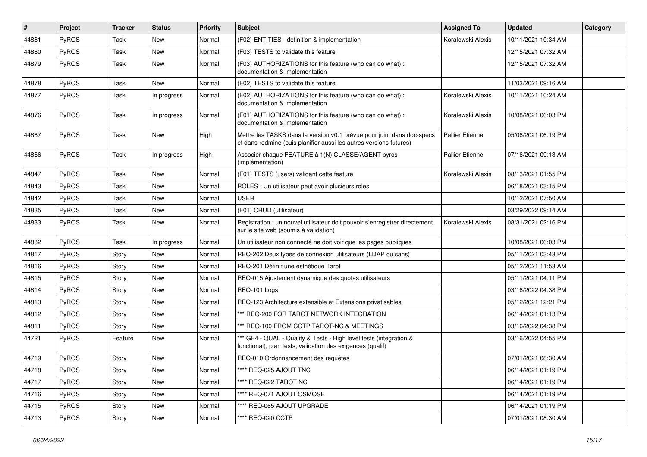| #     | Project      | <b>Tracker</b> | <b>Status</b> | <b>Priority</b> | Subject                                                                                                                                      | <b>Assigned To</b>     | <b>Updated</b>      | Category |
|-------|--------------|----------------|---------------|-----------------|----------------------------------------------------------------------------------------------------------------------------------------------|------------------------|---------------------|----------|
| 44881 | PyROS        | Task           | New           | Normal          | (F02) ENTITIES - definition & implementation                                                                                                 | Koralewski Alexis      | 10/11/2021 10:34 AM |          |
| 44880 | PyROS        | Task           | New           | Normal          | (F03) TESTS to validate this feature                                                                                                         |                        | 12/15/2021 07:32 AM |          |
| 44879 | PyROS        | Task           | New           | Normal          | (F03) AUTHORIZATIONS for this feature (who can do what) :<br>documentation & implementation                                                  |                        | 12/15/2021 07:32 AM |          |
| 44878 | PyROS        | Task           | New           | Normal          | (F02) TESTS to validate this feature                                                                                                         |                        | 11/03/2021 09:16 AM |          |
| 44877 | PyROS        | Task           | In progress   | Normal          | (F02) AUTHORIZATIONS for this feature (who can do what) :<br>documentation & implementation                                                  | Koralewski Alexis      | 10/11/2021 10:24 AM |          |
| 44876 | PyROS        | Task           | In progress   | Normal          | (F01) AUTHORIZATIONS for this feature (who can do what) :<br>documentation & implementation                                                  | Koralewski Alexis      | 10/08/2021 06:03 PM |          |
| 44867 | PyROS        | Task           | New           | High            | Mettre les TASKS dans la version v0.1 prévue pour juin, dans doc-specs<br>et dans redmine (puis planifier aussi les autres versions futures) | <b>Pallier Etienne</b> | 05/06/2021 06:19 PM |          |
| 44866 | PyROS        | Task           | In progress   | High            | Associer chaque FEATURE à 1(N) CLASSE/AGENT pyros<br>(implémentation)                                                                        | <b>Pallier Etienne</b> | 07/16/2021 09:13 AM |          |
| 44847 | PyROS        | Task           | New           | Normal          | (F01) TESTS (users) validant cette feature                                                                                                   | Koralewski Alexis      | 08/13/2021 01:55 PM |          |
| 44843 | PyROS        | Task           | New           | Normal          | ROLES : Un utilisateur peut avoir plusieurs roles                                                                                            |                        | 06/18/2021 03:15 PM |          |
| 44842 | PyROS        | Task           | New           | Normal          | <b>USER</b>                                                                                                                                  |                        | 10/12/2021 07:50 AM |          |
| 44835 | PyROS        | Task           | New           | Normal          | (F01) CRUD (utilisateur)                                                                                                                     |                        | 03/29/2022 09:14 AM |          |
| 44833 | PyROS        | Task           | New           | Normal          | Registration : un nouvel utilisateur doit pouvoir s'enregistrer directement<br>sur le site web (soumis à validation)                         | Koralewski Alexis      | 08/31/2021 02:16 PM |          |
| 44832 | PyROS        | Task           | In progress   | Normal          | Un utilisateur non connecté ne doit voir que les pages publiques                                                                             |                        | 10/08/2021 06:03 PM |          |
| 44817 | <b>PyROS</b> | Story          | New           | Normal          | REQ-202 Deux types de connexion utilisateurs (LDAP ou sans)                                                                                  |                        | 05/11/2021 03:43 PM |          |
| 44816 | <b>PyROS</b> | Story          | New           | Normal          | REQ-201 Définir une esthétique Tarot                                                                                                         |                        | 05/12/2021 11:53 AM |          |
| 44815 | PyROS        | Story          | New           | Normal          | REQ-015 Ajustement dynamique des quotas utilisateurs                                                                                         |                        | 05/11/2021 04:11 PM |          |
| 44814 | PyROS        | Story          | New           | Normal          | REQ-101 Logs                                                                                                                                 |                        | 03/16/2022 04:38 PM |          |
| 44813 | <b>PyROS</b> | Story          | New           | Normal          | REQ-123 Architecture extensible et Extensions privatisables                                                                                  |                        | 05/12/2021 12:21 PM |          |
| 44812 | PyROS        | Story          | New           | Normal          | *** REQ-200 FOR TAROT NETWORK INTEGRATION                                                                                                    |                        | 06/14/2021 01:13 PM |          |
| 44811 | PyROS        | Story          | New           | Normal          | *** REQ-100 FROM CCTP TAROT-NC & MEETINGS                                                                                                    |                        | 03/16/2022 04:38 PM |          |
| 44721 | PyROS        | Feature        | New           | Normal          | *** GF4 - QUAL - Quality & Tests - High level tests (integration &<br>functional), plan tests, validation des exigences (qualif)             |                        | 03/16/2022 04:55 PM |          |
| 44719 | PyROS        | Story          | New           | Normal          | REQ-010 Ordonnancement des requêtes                                                                                                          |                        | 07/01/2021 08:30 AM |          |
| 44718 | PyROS        | Story          | <b>New</b>    | Normal          | **** REQ-025 AJOUT TNC                                                                                                                       |                        | 06/14/2021 01:19 PM |          |
| 44717 | PyROS        | Story          | New           | Normal          | **** REQ-022 TAROT NC                                                                                                                        |                        | 06/14/2021 01:19 PM |          |
| 44716 | PyROS        | Story          | New           | Normal          | **** REQ-071 AJOUT OSMOSE                                                                                                                    |                        | 06/14/2021 01:19 PM |          |
| 44715 | PyROS        | Story          | New           | Normal          | **** REQ-065 AJOUT UPGRADE                                                                                                                   |                        | 06/14/2021 01:19 PM |          |
| 44713 | PyROS        | Story          | New           | Normal          | **** REQ-020 CCTP                                                                                                                            |                        | 07/01/2021 08:30 AM |          |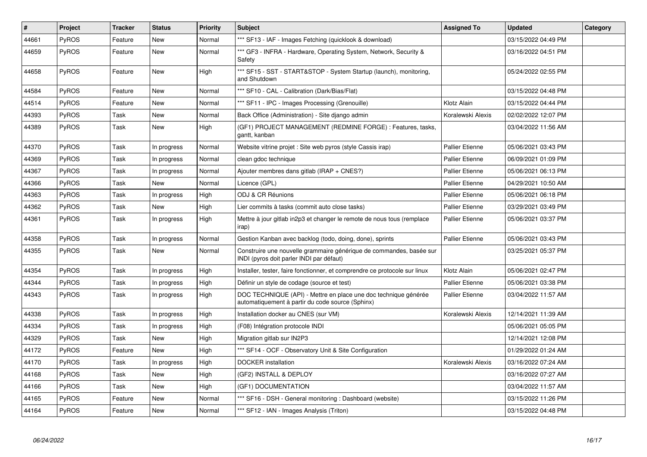| $\#$  | Project      | <b>Tracker</b> | <b>Status</b> | <b>Priority</b> | <b>Subject</b>                                                                                                      | <b>Assigned To</b>     | <b>Updated</b>      | Category |
|-------|--------------|----------------|---------------|-----------------|---------------------------------------------------------------------------------------------------------------------|------------------------|---------------------|----------|
| 44661 | <b>PyROS</b> | Feature        | <b>New</b>    | Normal          | *** SF13 - IAF - Images Fetching (quicklook & download)                                                             |                        | 03/15/2022 04:49 PM |          |
| 44659 | <b>PyROS</b> | Feature        | New           | Normal          | *** GF3 - INFRA - Hardware, Operating System, Network, Security &<br>Safety                                         |                        | 03/16/2022 04:51 PM |          |
| 44658 | <b>PyROS</b> | Feature        | New           | High            | *** SF15 - SST - START&STOP - System Startup (launch), monitoring,<br>and Shutdown                                  |                        | 05/24/2022 02:55 PM |          |
| 44584 | PyROS        | Feature        | New           | Normal          | *** SF10 - CAL - Calibration (Dark/Bias/Flat)                                                                       |                        | 03/15/2022 04:48 PM |          |
| 44514 | PyROS        | Feature        | New           | Normal          | *** SF11 - IPC - Images Processing (Grenouille)                                                                     | Klotz Alain            | 03/15/2022 04:44 PM |          |
| 44393 | PyROS        | Task           | New           | Normal          | Back Office (Administration) - Site django admin                                                                    | Koralewski Alexis      | 02/02/2022 12:07 PM |          |
| 44389 | <b>PyROS</b> | Task           | New           | High            | (GF1) PROJECT MANAGEMENT (REDMINE FORGE) : Features, tasks,<br>gantt, kanban                                        |                        | 03/04/2022 11:56 AM |          |
| 44370 | PyROS        | Task           | In progress   | Normal          | Website vitrine projet : Site web pyros (style Cassis irap)                                                         | <b>Pallier Etienne</b> | 05/06/2021 03:43 PM |          |
| 44369 | <b>PyROS</b> | Task           | In progress   | Normal          | clean gdoc technique                                                                                                | <b>Pallier Etienne</b> | 06/09/2021 01:09 PM |          |
| 44367 | PyROS        | Task           | In progress   | Normal          | Ajouter membres dans gitlab (IRAP + CNES?)                                                                          | <b>Pallier Etienne</b> | 05/06/2021 06:13 PM |          |
| 44366 | PyROS        | Task           | New           | Normal          | Licence (GPL)                                                                                                       | <b>Pallier Etienne</b> | 04/29/2021 10:50 AM |          |
| 44363 | <b>PyROS</b> | Task           | In progress   | High            | ODJ & CR Réunions                                                                                                   | <b>Pallier Etienne</b> | 05/06/2021 06:18 PM |          |
| 44362 | PyROS        | Task           | New           | High            | Lier commits à tasks (commit auto close tasks)                                                                      | <b>Pallier Etienne</b> | 03/29/2021 03:49 PM |          |
| 44361 | <b>PyROS</b> | Task           | In progress   | High            | Mettre à jour gitlab in2p3 et changer le remote de nous tous (remplace<br>irap)                                     | <b>Pallier Etienne</b> | 05/06/2021 03:37 PM |          |
| 44358 | <b>PyROS</b> | Task           | In progress   | Normal          | Gestion Kanban avec backlog (todo, doing, done), sprints                                                            | <b>Pallier Etienne</b> | 05/06/2021 03:43 PM |          |
| 44355 | <b>PyROS</b> | Task           | New           | Normal          | Construire une nouvelle grammaire générique de commandes, basée sur<br>INDI (pyros doit parler INDI par défaut)     |                        | 03/25/2021 05:37 PM |          |
| 44354 | PyROS        | Task           | In progress   | High            | Installer, tester, faire fonctionner, et comprendre ce protocole sur linux                                          | Klotz Alain            | 05/06/2021 02:47 PM |          |
| 44344 | <b>PyROS</b> | Task           | In progress   | High            | Définir un style de codage (source et test)                                                                         | <b>Pallier Etienne</b> | 05/06/2021 03:38 PM |          |
| 44343 | <b>PyROS</b> | Task           | In progress   | High            | DOC TECHNIQUE (API) - Mettre en place une doc technique générée<br>automatiquement à partir du code source (Sphinx) | <b>Pallier Etienne</b> | 03/04/2022 11:57 AM |          |
| 44338 | PyROS        | Task           | In progress   | High            | Installation docker au CNES (sur VM)                                                                                | Koralewski Alexis      | 12/14/2021 11:39 AM |          |
| 44334 | PyROS        | Task           | In progress   | High            | (F08) Intégration protocole INDI                                                                                    |                        | 05/06/2021 05:05 PM |          |
| 44329 | <b>PyROS</b> | Task           | <b>New</b>    | High            | Migration gitlab sur IN2P3                                                                                          |                        | 12/14/2021 12:08 PM |          |
| 44172 | <b>PyROS</b> | Feature        | New           | High            | *** SF14 - OCF - Observatory Unit & Site Configuration                                                              |                        | 01/29/2022 01:24 AM |          |
| 44170 | <b>PyROS</b> | Task           | In progress   | High            | <b>DOCKER</b> installation                                                                                          | Koralewski Alexis      | 03/16/2022 07:24 AM |          |
| 44168 | <b>PyROS</b> | Task           | New           | High            | (GF2) INSTALL & DEPLOY                                                                                              |                        | 03/16/2022 07:27 AM |          |
| 44166 | PyROS        | Task           | New           | High            | (GF1) DOCUMENTATION                                                                                                 |                        | 03/04/2022 11:57 AM |          |
| 44165 | PyROS        | Feature        | New           | Normal          | *** SF16 - DSH - General monitoring : Dashboard (website)                                                           |                        | 03/15/2022 11:26 PM |          |
| 44164 | PyROS        | Feature        | New           | Normal          | *** SF12 - IAN - Images Analysis (Triton)                                                                           |                        | 03/15/2022 04:48 PM |          |